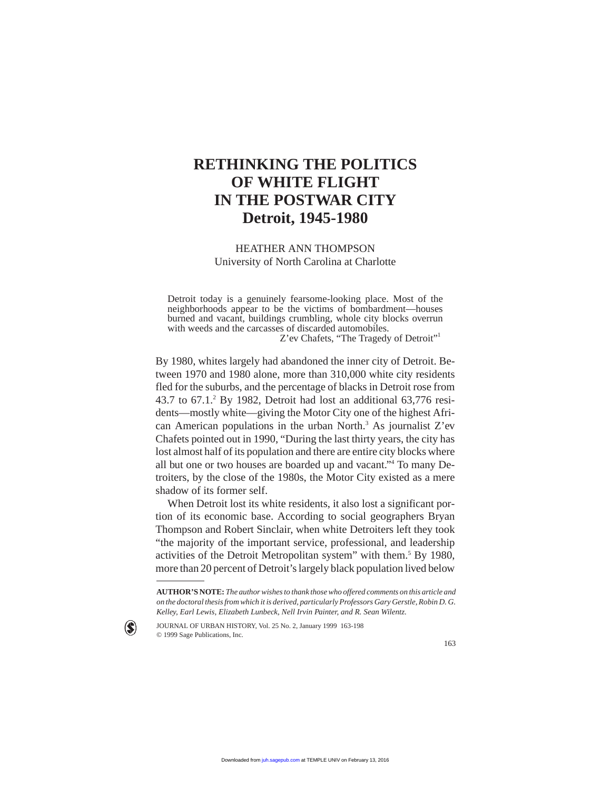# **RETHINKING THE POLITICS OF WHITE FLIGHT IN THE POSTWAR CITY Detroit, 1945-1980**

HEATHER ANN THOMPSON University of North Carolina at Charlotte

Detroit today is a genuinely fearsome-looking place. Most of the neighborhoods appear to be the victims of bombardment—houses burned and vacant, buildings crumbling, whole city blocks overrun with weeds and the carcasses of discarded automobiles.

Z'ev Chafets, "The Tragedy of Detroit"<sup>1</sup>

By 1980, whites largely had abandoned the inner city of Detroit. Between 1970 and 1980 alone, more than 310,000 white city residents fled for the suburbs, and the percentage of blacks in Detroit rose from 43.7 to 67.1.2 By 1982, Detroit had lost an additional 63,776 residents—mostly white—giving the Motor City one of the highest African American populations in the urban North.<sup>3</sup> As journalist  $Z'$ ev Chafets pointed out in 1990, "During the last thirty years, the city has lost almost half of its population and there are entire city blocks where all but one or two houses are boarded up and vacant."4 To many Detroiters, by the close of the 1980s, the Motor City existed as a mere shadow of its former self.

When Detroit lost its white residents, it also lost a significant portion of its economic base. According to social geographers Bryan Thompson and Robert Sinclair, when white Detroiters left they took "the majority of the important service, professional, and leadership activities of the Detroit Metropolitan system" with them.5 By 1980, more than 20 percent of Detroit's largely black population lived below

JOURNAL OF URBAN HISTORY, Vol. 25 No. 2, January 1999 163-198 © 1999 Sage Publications, Inc.

 $\left( \blacklozenge \right)$ 

**AUTHOR'S NOTE:** *The author wishes to thank those who offered comments on this article and on the doctoral thesis from which it is derived, particularly Professors Gary Gerstle, Robin D. G. Kelley, Earl Lewis, Elizabeth Lunbeck, Nell Irvin Painter, and R. Sean Wilentz.*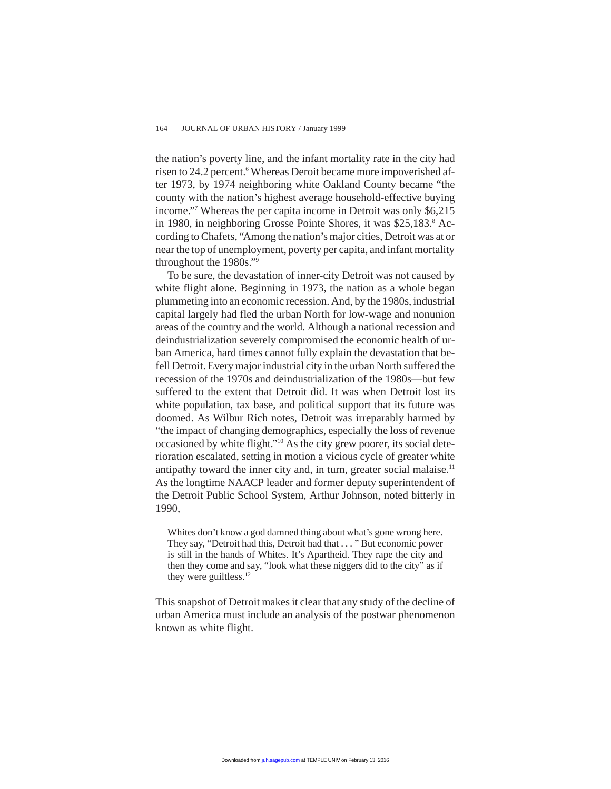the nation's poverty line, and the infant mortality rate in the city had risen to 24.2 percent.<sup>6</sup> Whereas Deroit became more impoverished after 1973, by 1974 neighboring white Oakland County became "the county with the nation's highest average household-effective buying income."7 Whereas the per capita income in Detroit was only \$6,215 in 1980, in neighboring Grosse Pointe Shores, it was \$25,183.8 According to Chafets, "Among the nation's major cities, Detroit was at or near the top of unemployment, poverty per capita, and infant mortality throughout the 1980s."9

To be sure, the devastation of inner-city Detroit was not caused by white flight alone. Beginning in 1973, the nation as a whole began plummeting into an economic recession. And, by the 1980s, industrial capital largely had fled the urban North for low-wage and nonunion areas of the country and the world. Although a national recession and deindustrialization severely compromised the economic health of urban America, hard times cannot fully explain the devastation that befell Detroit. Every major industrial city in the urban North suffered the recession of the 1970s and deindustrialization of the 1980s—but few suffered to the extent that Detroit did. It was when Detroit lost its white population, tax base, and political support that its future was doomed. As Wilbur Rich notes, Detroit was irreparably harmed by "the impact of changing demographics, especially the loss of revenue occasioned by white flight."10 As the city grew poorer, its social deterioration escalated, setting in motion a vicious cycle of greater white antipathy toward the inner city and, in turn, greater social malaise.<sup>11</sup> As the longtime NAACP leader and former deputy superintendent of the Detroit Public School System, Arthur Johnson, noted bitterly in 1990,

Whites don't know a god damned thing about what's gone wrong here. They say, "Detroit had this, Detroit had that . . . " But economic power is still in the hands of Whites. It's Apartheid. They rape the city and then they come and say, "look what these niggers did to the city" as if they were guiltless.<sup>12</sup>

This snapshot of Detroit makes it clear that any study of the decline of urban America must include an analysis of the postwar phenomenon known as white flight.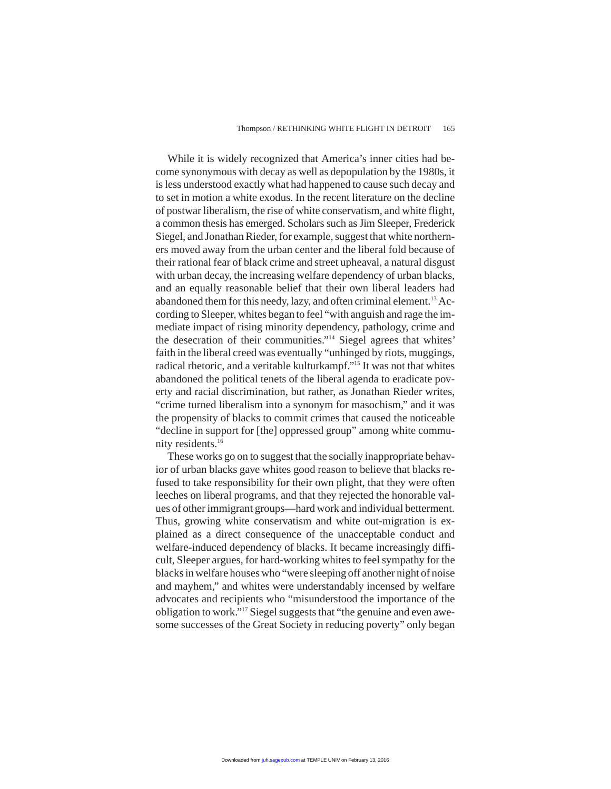While it is widely recognized that America's inner cities had become synonymous with decay as well as depopulation by the 1980s, it is less understood exactly what had happened to cause such decay and to set in motion a white exodus. In the recent literature on the decline of postwar liberalism, the rise of white conservatism, and white flight, a common thesis has emerged. Scholars such as Jim Sleeper, Frederick Siegel, and Jonathan Rieder, for example, suggest that white northerners moved away from the urban center and the liberal fold because of their rational fear of black crime and street upheaval, a natural disgust with urban decay, the increasing welfare dependency of urban blacks, and an equally reasonable belief that their own liberal leaders had abandoned them for this needy, lazy, and often criminal element.<sup>13</sup> According to Sleeper, whites began to feel "with anguish and rage the immediate impact of rising minority dependency, pathology, crime and the desecration of their communities."14 Siegel agrees that whites' faith in the liberal creed was eventually "unhinged by riots, muggings, radical rhetoric, and a veritable kulturkampf."15 It was not that whites abandoned the political tenets of the liberal agenda to eradicate poverty and racial discrimination, but rather, as Jonathan Rieder writes, "crime turned liberalism into a synonym for masochism," and it was the propensity of blacks to commit crimes that caused the noticeable "decline in support for [the] oppressed group" among white community residents.16

These works go on to suggest that the socially inappropriate behavior of urban blacks gave whites good reason to believe that blacks refused to take responsibility for their own plight, that they were often leeches on liberal programs, and that they rejected the honorable values of other immigrant groups—hard work and individual betterment. Thus, growing white conservatism and white out-migration is explained as a direct consequence of the unacceptable conduct and welfare-induced dependency of blacks. It became increasingly difficult, Sleeper argues, for hard-working whites to feel sympathy for the blacks in welfare houses who "were sleeping off another night of noise and mayhem," and whites were understandably incensed by welfare advocates and recipients who "misunderstood the importance of the obligation to work."17 Siegel suggests that "the genuine and even awesome successes of the Great Society in reducing poverty" only began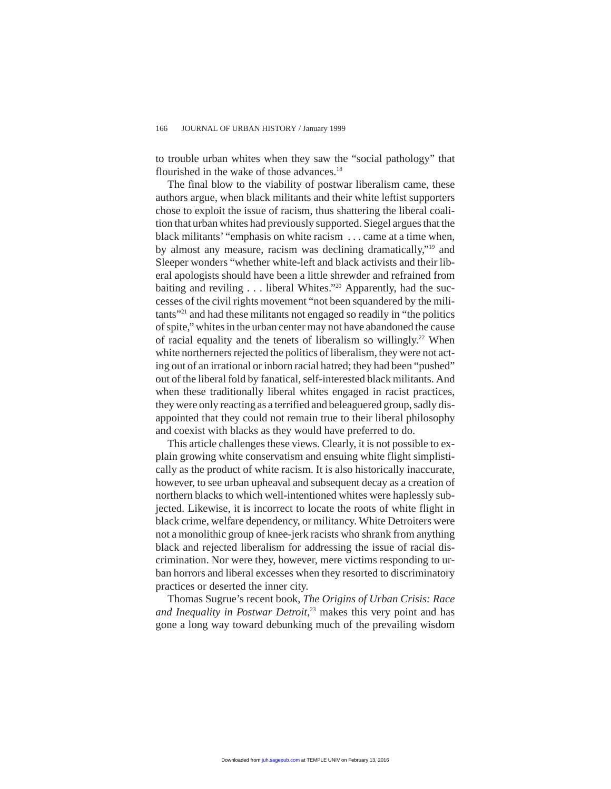to trouble urban whites when they saw the "social pathology" that flourished in the wake of those advances.<sup>18</sup>

The final blow to the viability of postwar liberalism came, these authors argue, when black militants and their white leftist supporters chose to exploit the issue of racism, thus shattering the liberal coalition that urban whites had previously supported. Siegel argues that the black militants' "emphasis on white racism . . . came at a time when, by almost any measure, racism was declining dramatically,"19 and Sleeper wonders "whether white-left and black activists and their liberal apologists should have been a little shrewder and refrained from baiting and reviling... liberal Whites."<sup>20</sup> Apparently, had the successes of the civil rights movement "not been squandered by the militants"21 and had these militants not engaged so readily in "the politics of spite," whites in the urban center may not have abandoned the cause of racial equality and the tenets of liberalism so willingly.<sup>22</sup> When white northerners rejected the politics of liberalism, they were not acting out of an irrational or inborn racial hatred; they had been "pushed" out of the liberal fold by fanatical, self-interested black militants. And when these traditionally liberal whites engaged in racist practices, they were only reacting as a terrified and beleaguered group, sadly disappointed that they could not remain true to their liberal philosophy and coexist with blacks as they would have preferred to do.

This article challenges these views. Clearly, it is not possible to explain growing white conservatism and ensuing white flight simplistically as the product of white racism. It is also historically inaccurate, however, to see urban upheaval and subsequent decay as a creation of northern blacks to which well-intentioned whites were haplessly subjected. Likewise, it is incorrect to locate the roots of white flight in black crime, welfare dependency, or militancy. White Detroiters were not a monolithic group of knee-jerk racists who shrank from anything black and rejected liberalism for addressing the issue of racial discrimination. Nor were they, however, mere victims responding to urban horrors and liberal excesses when they resorted to discriminatory practices or deserted the inner city.

Thomas Sugrue's recent book, *The Origins of Urban Crisis: Race and Inequality in Postwar Detroit*, <sup>23</sup> makes this very point and has gone a long way toward debunking much of the prevailing wisdom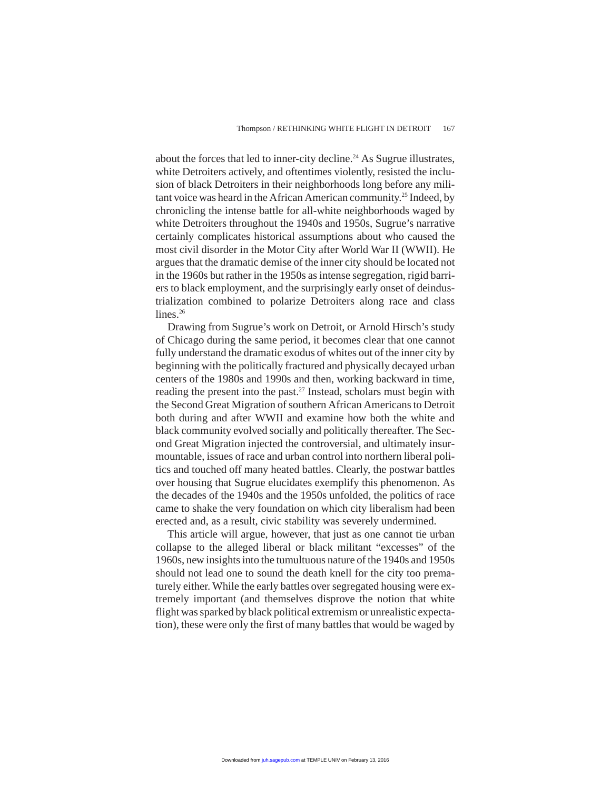about the forces that led to inner-city decline.<sup>24</sup> As Sugrue illustrates, white Detroiters actively, and oftentimes violently, resisted the inclusion of black Detroiters in their neighborhoods long before any militant voice was heard in the African American community.25 Indeed, by chronicling the intense battle for all-white neighborhoods waged by white Detroiters throughout the 1940s and 1950s, Sugrue's narrative certainly complicates historical assumptions about who caused the most civil disorder in the Motor City after World War II (WWII). He argues that the dramatic demise of the inner city should be located not in the 1960s but rather in the 1950s as intense segregation, rigid barriers to black employment, and the surprisingly early onset of deindustrialization combined to polarize Detroiters along race and class  $lines<sup>26</sup>$ 

Drawing from Sugrue's work on Detroit, or Arnold Hirsch's study of Chicago during the same period, it becomes clear that one cannot fully understand the dramatic exodus of whites out of the inner city by beginning with the politically fractured and physically decayed urban centers of the 1980s and 1990s and then, working backward in time, reading the present into the past.<sup>27</sup> Instead, scholars must begin with the Second Great Migration of southern African Americans to Detroit both during and after WWII and examine how both the white and black community evolved socially and politically thereafter. The Second Great Migration injected the controversial, and ultimately insurmountable, issues of race and urban control into northern liberal politics and touched off many heated battles. Clearly, the postwar battles over housing that Sugrue elucidates exemplify this phenomenon. As the decades of the 1940s and the 1950s unfolded, the politics of race came to shake the very foundation on which city liberalism had been erected and, as a result, civic stability was severely undermined.

This article will argue, however, that just as one cannot tie urban collapse to the alleged liberal or black militant "excesses" of the 1960s, new insights into the tumultuous nature of the 1940s and 1950s should not lead one to sound the death knell for the city too prematurely either. While the early battles over segregated housing were extremely important (and themselves disprove the notion that white flight was sparked by black political extremism or unrealistic expectation), these were only the first of many battles that would be waged by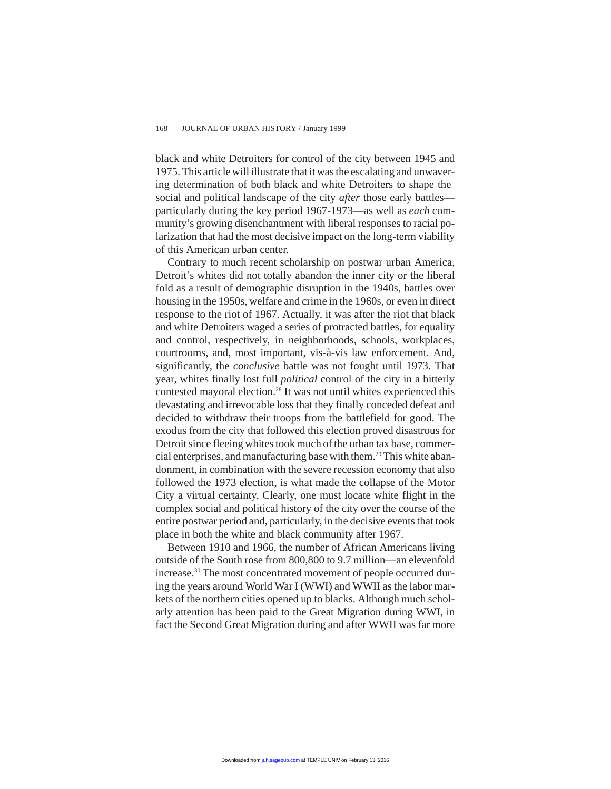black and white Detroiters for control of the city between 1945 and 1975. This article will illustrate that it was the escalating and unwavering determination of both black and white Detroiters to shape the social and political landscape of the city *after* those early battles particularly during the key period 1967-1973—as well as *each* community's growing disenchantment with liberal responses to racial polarization that had the most decisive impact on the long-term viability of this American urban center.

Contrary to much recent scholarship on postwar urban America, Detroit's whites did not totally abandon the inner city or the liberal fold as a result of demographic disruption in the 1940s, battles over housing in the 1950s, welfare and crime in the 1960s, or even in direct response to the riot of 1967. Actually, it was after the riot that black and white Detroiters waged a series of protracted battles, for equality and control, respectively, in neighborhoods, schools, workplaces, courtrooms, and, most important, vis-à-vis law enforcement. And, significantly, the *conclusive* battle was not fought until 1973. That year, whites finally lost full *political* control of the city in a bitterly contested mayoral election.<sup>28</sup> It was not until whites experienced this devastating and irrevocable loss that they finally conceded defeat and decided to withdraw their troops from the battlefield for good. The exodus from the city that followed this election proved disastrous for Detroit since fleeing whites took much of the urban tax base, commercial enterprises, and manufacturing base with them.29 This white abandonment, in combination with the severe recession economy that also followed the 1973 election, is what made the collapse of the Motor City a virtual certainty. Clearly, one must locate white flight in the complex social and political history of the city over the course of the entire postwar period and, particularly, in the decisive events that took place in both the white and black community after 1967.

Between 1910 and 1966, the number of African Americans living outside of the South rose from 800,800 to 9.7 million—an elevenfold increase.<sup>30</sup> The most concentrated movement of people occurred during the years around World War I (WWI) and WWII as the labor markets of the northern cities opened up to blacks. Although much scholarly attention has been paid to the Great Migration during WWI, in fact the Second Great Migration during and after WWII was far more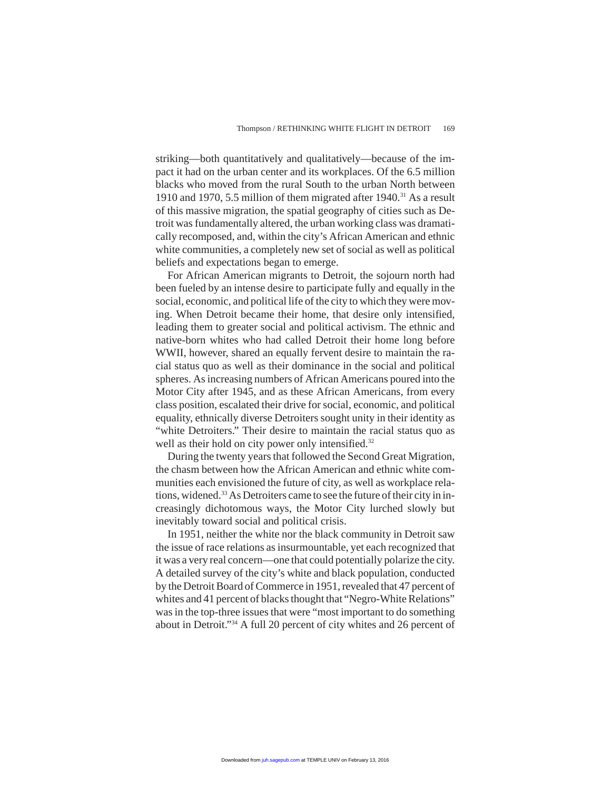striking—both quantitatively and qualitatively—because of the impact it had on the urban center and its workplaces. Of the 6.5 million blacks who moved from the rural South to the urban North between 1910 and 1970, 5.5 million of them migrated after  $1940$ .<sup>31</sup> As a result of this massive migration, the spatial geography of cities such as Detroit was fundamentally altered, the urban working class was dramatically recomposed, and, within the city's African American and ethnic white communities, a completely new set of social as well as political beliefs and expectations began to emerge.

For African American migrants to Detroit, the sojourn north had been fueled by an intense desire to participate fully and equally in the social, economic, and political life of the city to which they were moving. When Detroit became their home, that desire only intensified, leading them to greater social and political activism. The ethnic and native-born whites who had called Detroit their home long before WWII, however, shared an equally fervent desire to maintain the racial status quo as well as their dominance in the social and political spheres. As increasing numbers of African Americans poured into the Motor City after 1945, and as these African Americans, from every class position, escalated their drive for social, economic, and political equality, ethnically diverse Detroiters sought unity in their identity as "white Detroiters." Their desire to maintain the racial status quo as well as their hold on city power only intensified.<sup>32</sup>

During the twenty years that followed the Second Great Migration, the chasm between how the African American and ethnic white communities each envisioned the future of city, as well as workplace relations, widened.33 As Detroiters came to see the future of their city in increasingly dichotomous ways, the Motor City lurched slowly but inevitably toward social and political crisis.

In 1951, neither the white nor the black community in Detroit saw the issue of race relations as insurmountable, yet each recognized that it was a very real concern—one that could potentially polarize the city. A detailed survey of the city's white and black population, conducted by the Detroit Board of Commerce in 1951, revealed that 47 percent of whites and 41 percent of blacks thought that "Negro-White Relations" was in the top-three issues that were "most important to do something about in Detroit."34 A full 20 percent of city whites and 26 percent of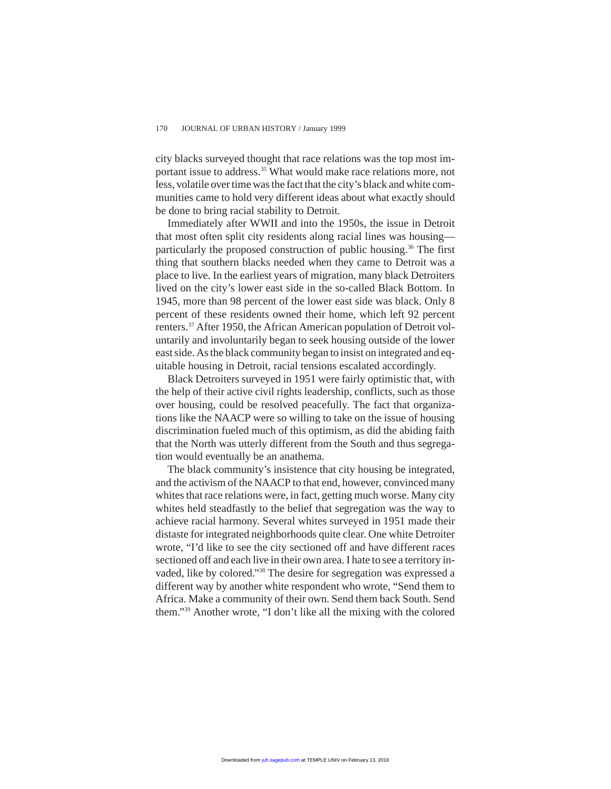city blacks surveyed thought that race relations was the top most important issue to address.<sup>35</sup> What would make race relations more, not less, volatile over time was the fact that the city's black and white communities came to hold very different ideas about what exactly should be done to bring racial stability to Detroit.

Immediately after WWII and into the 1950s, the issue in Detroit that most often split city residents along racial lines was housing particularly the proposed construction of public housing.<sup>36</sup> The first thing that southern blacks needed when they came to Detroit was a place to live. In the earliest years of migration, many black Detroiters lived on the city's lower east side in the so-called Black Bottom. In 1945, more than 98 percent of the lower east side was black. Only 8 percent of these residents owned their home, which left 92 percent renters.37 After 1950, the African American population of Detroit voluntarily and involuntarily began to seek housing outside of the lower east side. As the black community began to insist on integrated and equitable housing in Detroit, racial tensions escalated accordingly.

Black Detroiters surveyed in 1951 were fairly optimistic that, with the help of their active civil rights leadership, conflicts, such as those over housing, could be resolved peacefully. The fact that organizations like the NAACP were so willing to take on the issue of housing discrimination fueled much of this optimism, as did the abiding faith that the North was utterly different from the South and thus segregation would eventually be an anathema.

The black community's insistence that city housing be integrated, and the activism of the NAACP to that end, however, convinced many whites that race relations were, in fact, getting much worse. Many city whites held steadfastly to the belief that segregation was the way to achieve racial harmony. Several whites surveyed in 1951 made their distaste for integrated neighborhoods quite clear. One white Detroiter wrote, "I'd like to see the city sectioned off and have different races sectioned off and each live in their own area. I hate to see a territory invaded, like by colored."38 The desire for segregation was expressed a different way by another white respondent who wrote, "Send them to Africa. Make a community of their own. Send them back South. Send them."39 Another wrote, "I don't like all the mixing with the colored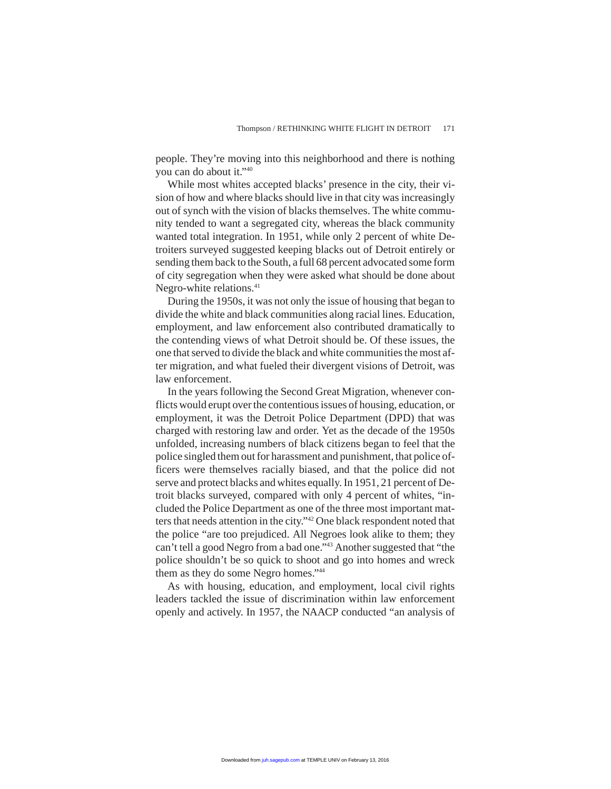people. They're moving into this neighborhood and there is nothing you can do about it."40

While most whites accepted blacks' presence in the city, their vision of how and where blacks should live in that city was increasingly out of synch with the vision of blacks themselves. The white community tended to want a segregated city, whereas the black community wanted total integration. In 1951, while only 2 percent of white Detroiters surveyed suggested keeping blacks out of Detroit entirely or sending them back to the South, a full 68 percent advocated some form of city segregation when they were asked what should be done about Negro-white relations.<sup>41</sup>

During the 1950s, it was not only the issue of housing that began to divide the white and black communities along racial lines. Education, employment, and law enforcement also contributed dramatically to the contending views of what Detroit should be. Of these issues, the one that served to divide the black and white communities the most after migration, and what fueled their divergent visions of Detroit, was law enforcement.

In the years following the Second Great Migration, whenever conflicts would erupt over the contentious issues of housing, education, or employment, it was the Detroit Police Department (DPD) that was charged with restoring law and order. Yet as the decade of the 1950s unfolded, increasing numbers of black citizens began to feel that the police singled them out for harassment and punishment, that police officers were themselves racially biased, and that the police did not serve and protect blacks and whites equally. In 1951, 21 percent of Detroit blacks surveyed, compared with only 4 percent of whites, "included the Police Department as one of the three most important matters that needs attention in the city."42 One black respondent noted that the police "are too prejudiced. All Negroes look alike to them; they can't tell a good Negro from a bad one."43 Another suggested that "the police shouldn't be so quick to shoot and go into homes and wreck them as they do some Negro homes."44

As with housing, education, and employment, local civil rights leaders tackled the issue of discrimination within law enforcement openly and actively. In 1957, the NAACP conducted "an analysis of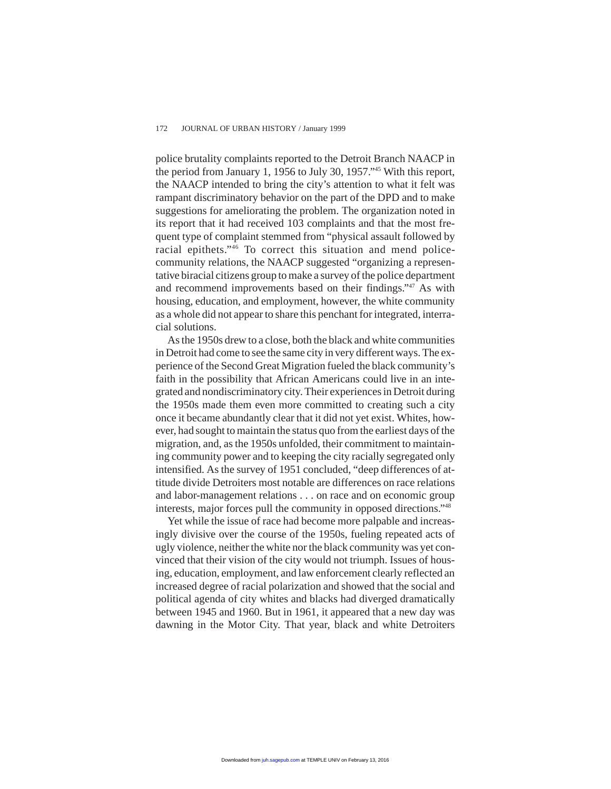police brutality complaints reported to the Detroit Branch NAACP in the period from January 1, 1956 to July 30, 1957."45 With this report, the NAACP intended to bring the city's attention to what it felt was rampant discriminatory behavior on the part of the DPD and to make suggestions for ameliorating the problem. The organization noted in its report that it had received 103 complaints and that the most frequent type of complaint stemmed from "physical assault followed by racial epithets."46 To correct this situation and mend policecommunity relations, the NAACP suggested "organizing a representative biracial citizens group to make a survey of the police department and recommend improvements based on their findings."47 As with housing, education, and employment, however, the white community as a whole did not appear to share this penchant for integrated, interracial solutions.

As the 1950s drew to a close, both the black and white communities in Detroit had come to see the same city in very different ways. The experience of the Second Great Migration fueled the black community's faith in the possibility that African Americans could live in an integrated and nondiscriminatory city. Their experiences in Detroit during the 1950s made them even more committed to creating such a city once it became abundantly clear that it did not yet exist. Whites, however, had sought to maintain the status quo from the earliest days of the migration, and, as the 1950s unfolded, their commitment to maintaining community power and to keeping the city racially segregated only intensified. As the survey of 1951 concluded, "deep differences of attitude divide Detroiters most notable are differences on race relations and labor-management relations . . . on race and on economic group interests, major forces pull the community in opposed directions."48

Yet while the issue of race had become more palpable and increasingly divisive over the course of the 1950s, fueling repeated acts of ugly violence, neither the white nor the black community was yet convinced that their vision of the city would not triumph. Issues of housing, education, employment, and law enforcement clearly reflected an increased degree of racial polarization and showed that the social and political agenda of city whites and blacks had diverged dramatically between 1945 and 1960. But in 1961, it appeared that a new day was dawning in the Motor City. That year, black and white Detroiters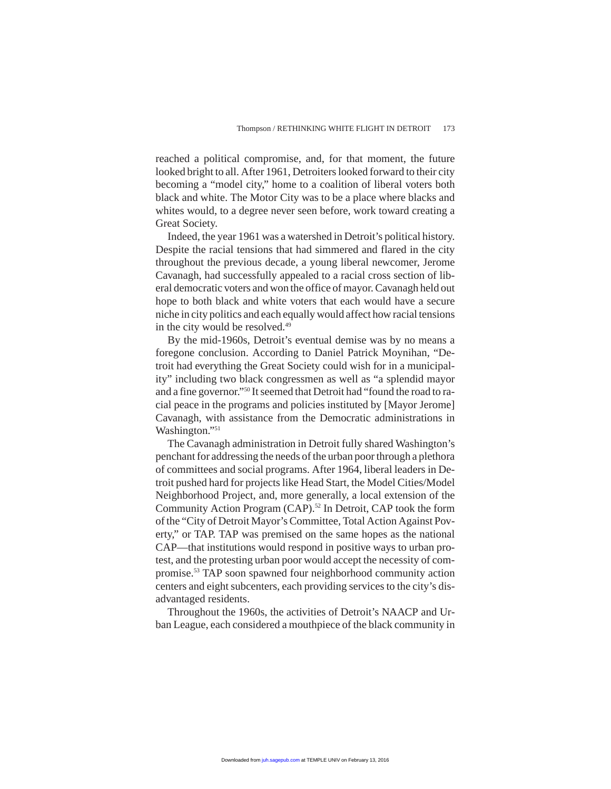reached a political compromise, and, for that moment, the future looked bright to all. After 1961, Detroiters looked forward to their city becoming a "model city," home to a coalition of liberal voters both black and white. The Motor City was to be a place where blacks and whites would, to a degree never seen before, work toward creating a Great Society.

Indeed, the year 1961 was a watershed in Detroit's political history. Despite the racial tensions that had simmered and flared in the city throughout the previous decade, a young liberal newcomer, Jerome Cavanagh, had successfully appealed to a racial cross section of liberal democratic voters and won the office of mayor. Cavanagh held out hope to both black and white voters that each would have a secure niche in city politics and each equally would affect how racial tensions in the city would be resolved.<sup>49</sup>

By the mid-1960s, Detroit's eventual demise was by no means a foregone conclusion. According to Daniel Patrick Moynihan, "Detroit had everything the Great Society could wish for in a municipality" including two black congressmen as well as "a splendid mayor and a fine governor."50 It seemed that Detroit had "found the road to racial peace in the programs and policies instituted by [Mayor Jerome] Cavanagh, with assistance from the Democratic administrations in Washington."<sup>51</sup>

The Cavanagh administration in Detroit fully shared Washington's penchant for addressing the needs of the urban poor through a plethora of committees and social programs. After 1964, liberal leaders in Detroit pushed hard for projects like Head Start, the Model Cities/Model Neighborhood Project, and, more generally, a local extension of the Community Action Program (CAP).<sup>52</sup> In Detroit, CAP took the form of the "City of Detroit Mayor's Committee, Total Action Against Poverty," or TAP. TAP was premised on the same hopes as the national CAP—that institutions would respond in positive ways to urban protest, and the protesting urban poor would accept the necessity of compromise.53 TAP soon spawned four neighborhood community action centers and eight subcenters, each providing services to the city's disadvantaged residents.

Throughout the 1960s, the activities of Detroit's NAACP and Urban League, each considered a mouthpiece of the black community in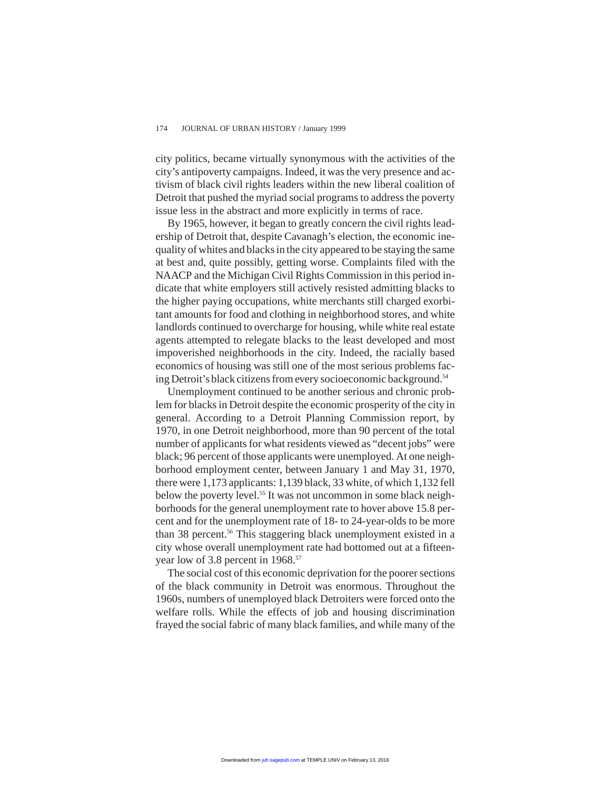city politics, became virtually synonymous with the activities of the city's antipoverty campaigns. Indeed, it was the very presence and activism of black civil rights leaders within the new liberal coalition of Detroit that pushed the myriad social programs to address the poverty issue less in the abstract and more explicitly in terms of race.

By 1965, however, it began to greatly concern the civil rights leadership of Detroit that, despite Cavanagh's election, the economic inequality of whites and blacks in the city appeared to be staying the same at best and, quite possibly, getting worse. Complaints filed with the NAACP and the Michigan Civil Rights Commission in this period indicate that white employers still actively resisted admitting blacks to the higher paying occupations, white merchants still charged exorbitant amounts for food and clothing in neighborhood stores, and white landlords continued to overcharge for housing, while white real estate agents attempted to relegate blacks to the least developed and most impoverished neighborhoods in the city. Indeed, the racially based economics of housing was still one of the most serious problems facing Detroit's black citizens from every socioeconomic background.<sup>54</sup>

Unemployment continued to be another serious and chronic problem for blacks in Detroit despite the economic prosperity of the city in general. According to a Detroit Planning Commission report, by 1970, in one Detroit neighborhood, more than 90 percent of the total number of applicants for what residents viewed as "decent jobs" were black; 96 percent of those applicants were unemployed. At one neighborhood employment center, between January 1 and May 31, 1970, there were 1,173 applicants: 1,139 black, 33 white, of which 1,132 fell below the poverty level.<sup>55</sup> It was not uncommon in some black neighborhoods for the general unemployment rate to hover above 15.8 percent and for the unemployment rate of 18- to 24-year-olds to be more than 38 percent.<sup>56</sup> This staggering black unemployment existed in a city whose overall unemployment rate had bottomed out at a fifteenyear low of 3.8 percent in 1968.<sup>57</sup>

The social cost of this economic deprivation for the poorer sections of the black community in Detroit was enormous. Throughout the 1960s, numbers of unemployed black Detroiters were forced onto the welfare rolls. While the effects of job and housing discrimination frayed the social fabric of many black families, and while many of the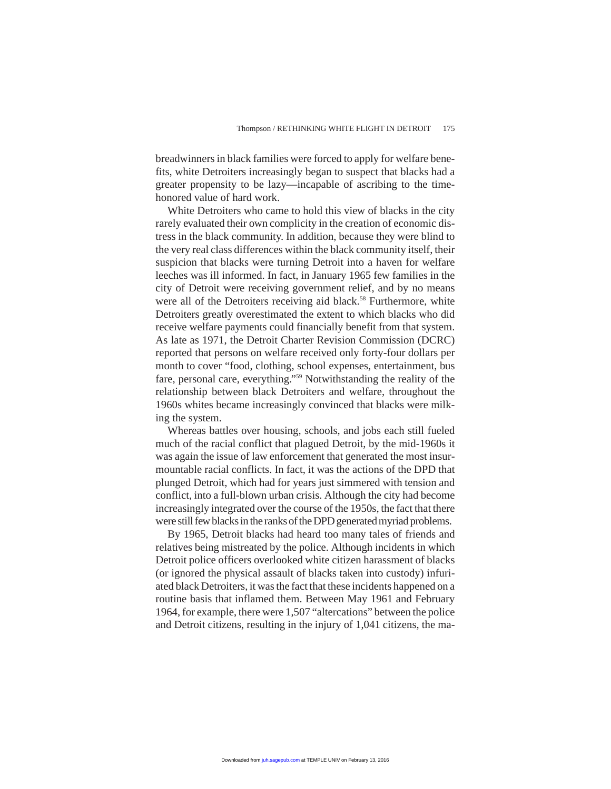breadwinners in black families were forced to apply for welfare benefits, white Detroiters increasingly began to suspect that blacks had a greater propensity to be lazy—incapable of ascribing to the timehonored value of hard work.

White Detroiters who came to hold this view of blacks in the city rarely evaluated their own complicity in the creation of economic distress in the black community. In addition, because they were blind to the very real class differences within the black community itself, their suspicion that blacks were turning Detroit into a haven for welfare leeches was ill informed. In fact, in January 1965 few families in the city of Detroit were receiving government relief, and by no means were all of the Detroiters receiving aid black.<sup>58</sup> Furthermore, white Detroiters greatly overestimated the extent to which blacks who did receive welfare payments could financially benefit from that system. As late as 1971, the Detroit Charter Revision Commission (DCRC) reported that persons on welfare received only forty-four dollars per month to cover "food, clothing, school expenses, entertainment, bus fare, personal care, everything."59 Notwithstanding the reality of the relationship between black Detroiters and welfare, throughout the 1960s whites became increasingly convinced that blacks were milking the system.

Whereas battles over housing, schools, and jobs each still fueled much of the racial conflict that plagued Detroit, by the mid-1960s it was again the issue of law enforcement that generated the most insurmountable racial conflicts. In fact, it was the actions of the DPD that plunged Detroit, which had for years just simmered with tension and conflict, into a full-blown urban crisis. Although the city had become increasingly integrated over the course of the 1950s, the fact that there were still few blacks in the ranks of the DPD generated myriad problems.

By 1965, Detroit blacks had heard too many tales of friends and relatives being mistreated by the police. Although incidents in which Detroit police officers overlooked white citizen harassment of blacks (or ignored the physical assault of blacks taken into custody) infuriated black Detroiters, it was the fact that these incidents happened on a routine basis that inflamed them. Between May 1961 and February 1964, for example, there were 1,507 "altercations" between the police and Detroit citizens, resulting in the injury of 1,041 citizens, the ma-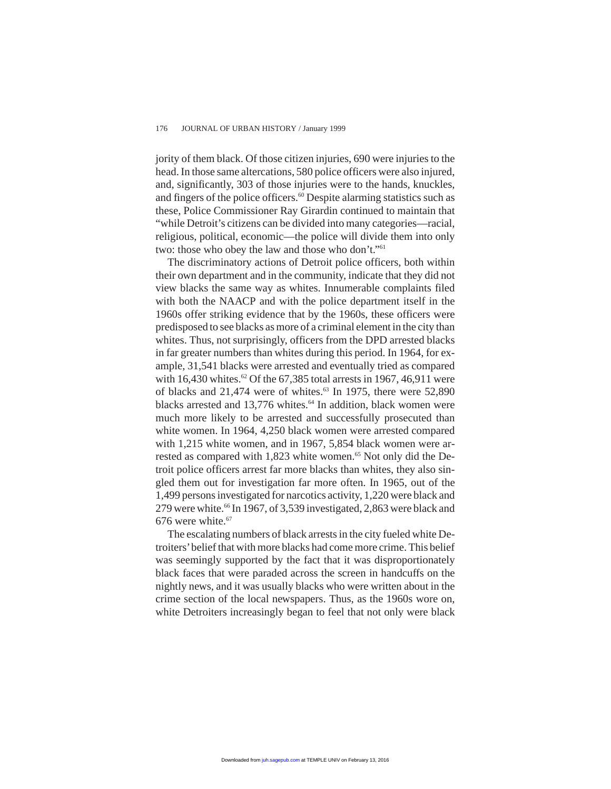jority of them black. Of those citizen injuries, 690 were injuries to the head. In those same altercations, 580 police officers were also injured, and, significantly, 303 of those injuries were to the hands, knuckles, and fingers of the police officers.<sup>60</sup> Despite alarming statistics such as these, Police Commissioner Ray Girardin continued to maintain that "while Detroit's citizens can be divided into many categories—racial, religious, political, economic—the police will divide them into only two: those who obey the law and those who don't."<sup>61</sup>

The discriminatory actions of Detroit police officers, both within their own department and in the community, indicate that they did not view blacks the same way as whites. Innumerable complaints filed with both the NAACP and with the police department itself in the 1960s offer striking evidence that by the 1960s, these officers were predisposed to see blacks as more of a criminal element in the city than whites. Thus, not surprisingly, officers from the DPD arrested blacks in far greater numbers than whites during this period. In 1964, for example, 31,541 blacks were arrested and eventually tried as compared with 16,430 whites.<sup>62</sup> Of the 67,385 total arrests in 1967, 46,911 were of blacks and  $21,474$  were of whites.<sup>63</sup> In 1975, there were 52,890 blacks arrested and 13,776 whites.<sup>64</sup> In addition, black women were much more likely to be arrested and successfully prosecuted than white women. In 1964, 4,250 black women were arrested compared with 1,215 white women, and in 1967, 5,854 black women were arrested as compared with 1,823 white women.<sup>65</sup> Not only did the Detroit police officers arrest far more blacks than whites, they also singled them out for investigation far more often. In 1965, out of the 1,499 persons investigated for narcotics activity, 1,220 were black and 279 were white.<sup>66</sup> In 1967, of 3,539 investigated, 2,863 were black and 676 were white.<sup>67</sup>

The escalating numbers of black arrests in the city fueled white Detroiters'belief that with more blacks had come more crime. This belief was seemingly supported by the fact that it was disproportionately black faces that were paraded across the screen in handcuffs on the nightly news, and it was usually blacks who were written about in the crime section of the local newspapers. Thus, as the 1960s wore on, white Detroiters increasingly began to feel that not only were black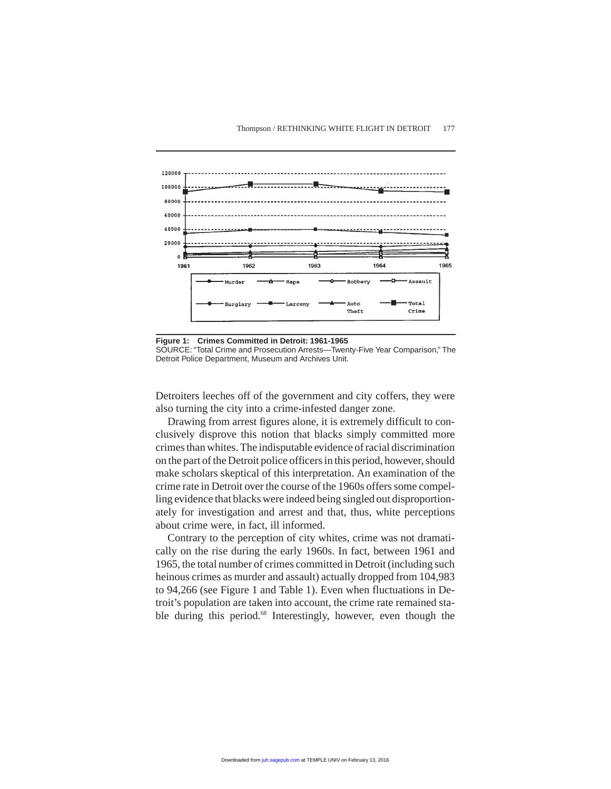

**Figure 1: Crimes Committed in Detroit: 1961-1965** SOURCE: "Total Crime and Prosecution Arrests—Twenty-Five Year Comparison," The Detroit Police Department, Museum and Archives Unit.

Detroiters leeches off of the government and city coffers, they were also turning the city into a crime-infested danger zone.

Drawing from arrest figures alone, it is extremely difficult to conclusively disprove this notion that blacks simply committed more crimes than whites. The indisputable evidence of racial discrimination on the part of the Detroit police officers in this period, however, should make scholars skeptical of this interpretation. An examination of the crime rate in Detroit over the course of the 1960s offers some compelling evidence that blacks were indeed being singled out disproportionately for investigation and arrest and that, thus, white perceptions about crime were, in fact, ill informed.

Contrary to the perception of city whites, crime was not dramatically on the rise during the early 1960s. In fact, between 1961 and 1965, the total number of crimes committed in Detroit (including such heinous crimes as murder and assault) actually dropped from 104,983 to 94,266 (see Figure 1 and Table 1). Even when fluctuations in Detroit's population are taken into account, the crime rate remained stable during this period.<sup>68</sup> Interestingly, however, even though the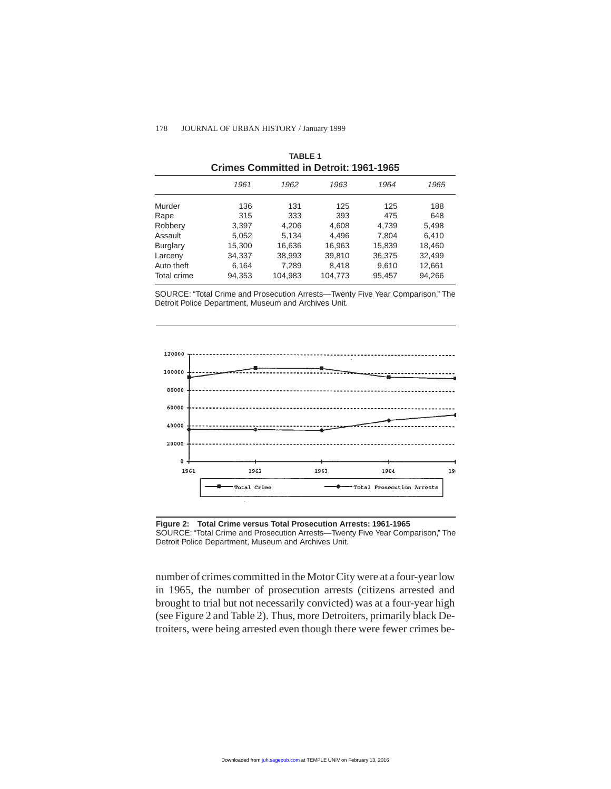| <b>TABLE 1</b><br><b>Crimes Committed in Detroit: 1961-1965</b> |        |         |         |        |        |  |  |
|-----------------------------------------------------------------|--------|---------|---------|--------|--------|--|--|
|                                                                 | 1961   | 1962    | 1963    | 1964   | 1965   |  |  |
| Murder                                                          | 136    | 131     | 125     | 125    | 188    |  |  |
| Rape                                                            | 315    | 333     | 393     | 475    | 648    |  |  |
| Robbery                                                         | 3,397  | 4,206   | 4,608   | 4,739  | 5,498  |  |  |
| Assault                                                         | 5.052  | 5.134   | 4.496   | 7.804  | 6.410  |  |  |
| <b>Burglary</b>                                                 | 15.300 | 16.636  | 16.963  | 15.839 | 18.460 |  |  |
| Larceny                                                         | 34,337 | 38,993  | 39,810  | 36,375 | 32,499 |  |  |
| Auto theft                                                      | 6.164  | 7.289   | 8.418   | 9.610  | 12,661 |  |  |
| Total crime                                                     | 94.353 | 104.983 | 104,773 | 95.457 | 94.266 |  |  |

SOURCE: "Total Crime and Prosecution Arrests—Twenty Five Year Comparison," The Detroit Police Department, Museum and Archives Unit.





number of crimes committed in the Motor City were at a four-year low in 1965, the number of prosecution arrests (citizens arrested and brought to trial but not necessarily convicted) was at a four-year high (see Figure 2 and Table 2). Thus, more Detroiters, primarily black Detroiters, were being arrested even though there were fewer crimes be-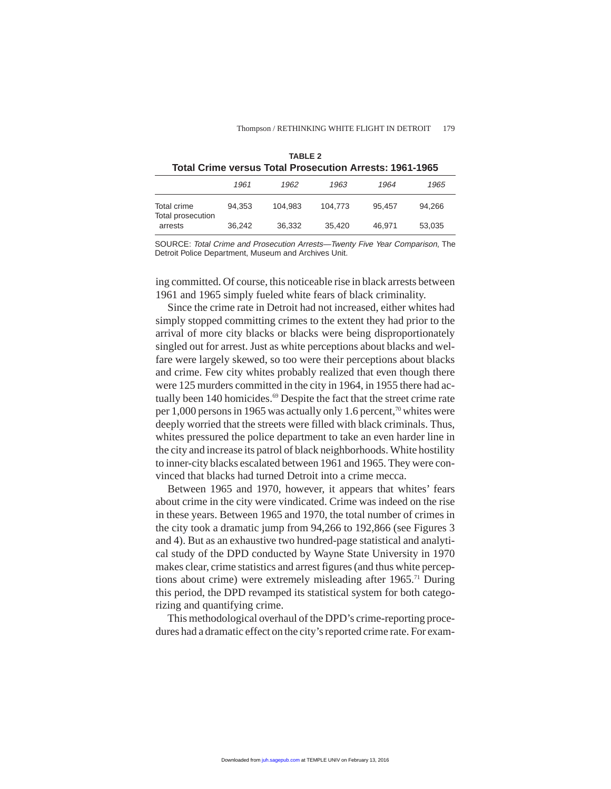| <b>TABLE 2</b><br><b>Total Crime versus Total Prosecution Arrests: 1961-1965</b> |        |         |         |        |        |  |  |  |
|----------------------------------------------------------------------------------|--------|---------|---------|--------|--------|--|--|--|
|                                                                                  | 1961   | 1962    | 1963    | 1964   | 1965   |  |  |  |
| Total crime                                                                      | 94.353 | 104.983 | 104.773 | 95.457 | 94.266 |  |  |  |
| Total prosecution<br>arrests                                                     | 36.242 | 36,332  | 35.420  | 46.971 | 53.035 |  |  |  |

SOURCE: Total Crime and Prosecution Arrests—Twenty Five Year Comparison, The Detroit Police Department, Museum and Archives Unit.

ing committed. Of course, this noticeable rise in black arrests between 1961 and 1965 simply fueled white fears of black criminality.

Since the crime rate in Detroit had not increased, either whites had simply stopped committing crimes to the extent they had prior to the arrival of more city blacks or blacks were being disproportionately singled out for arrest. Just as white perceptions about blacks and welfare were largely skewed, so too were their perceptions about blacks and crime. Few city whites probably realized that even though there were 125 murders committed in the city in 1964, in 1955 there had actually been 140 homicides.<sup>69</sup> Despite the fact that the street crime rate per 1,000 persons in 1965 was actually only 1.6 percent,<sup>70</sup> whites were deeply worried that the streets were filled with black criminals. Thus, whites pressured the police department to take an even harder line in the city and increase its patrol of black neighborhoods. White hostility to inner-city blacks escalated between 1961 and 1965. They were convinced that blacks had turned Detroit into a crime mecca.

Between 1965 and 1970, however, it appears that whites' fears about crime in the city were vindicated. Crime was indeed on the rise in these years. Between 1965 and 1970, the total number of crimes in the city took a dramatic jump from 94,266 to 192,866 (see Figures 3 and 4). But as an exhaustive two hundred-page statistical and analytical study of the DPD conducted by Wayne State University in 1970 makes clear, crime statistics and arrest figures (and thus white perceptions about crime) were extremely misleading after 1965.<sup>71</sup> During this period, the DPD revamped its statistical system for both categorizing and quantifying crime.

This methodological overhaul of the DPD's crime-reporting procedures had a dramatic effect on the city's reported crime rate. For exam-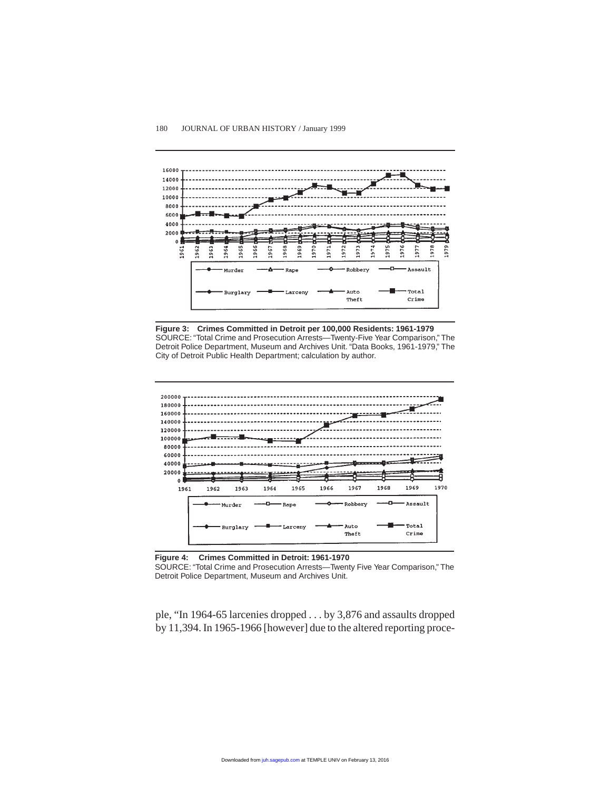

**Figure 3: Crimes Committed in Detroit per 100,000 Residents: 1961-1979** SOURCE: "Total Crime and Prosecution Arrests—Twenty-Five Year Comparison," The Detroit Police Department, Museum and Archives Unit. "Data Books, 1961-1979," The City of Detroit Public Health Department; calculation by author.



**Figure 4: Crimes Committed in Detroit: 1961-1970**

ple, "In 1964-65 larcenies dropped . . . by 3,876 and assaults dropped by 11,394. In 1965-1966 [however] due to the altered reporting proce-

SOURCE: "Total Crime and Prosecution Arrests—Twenty Five Year Comparison," The Detroit Police Department, Museum and Archives Unit.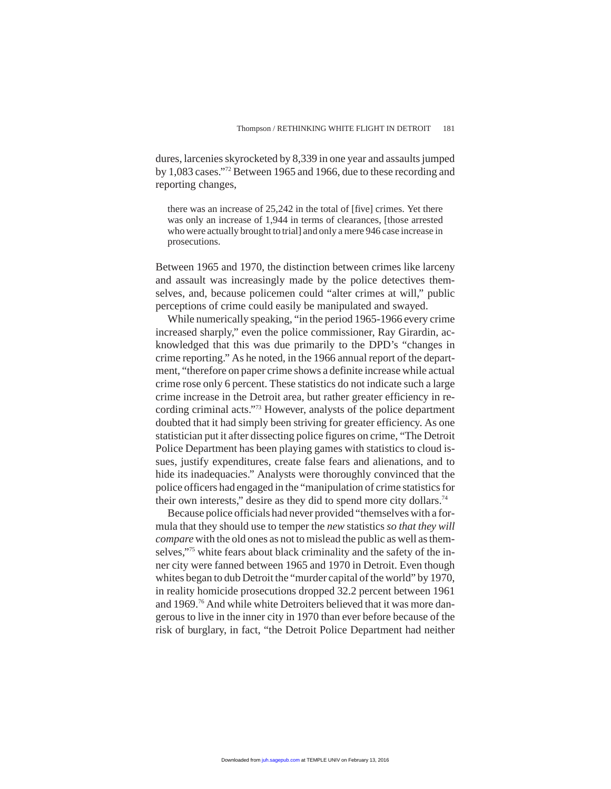dures, larcenies skyrocketed by 8,339 in one year and assaults jumped by 1,083 cases."72 Between 1965 and 1966, due to these recording and reporting changes,

there was an increase of 25,242 in the total of [five] crimes. Yet there was only an increase of 1,944 in terms of clearances, [those arrested who were actually brought to trial] and only a mere 946 case increase in prosecutions.

Between 1965 and 1970, the distinction between crimes like larceny and assault was increasingly made by the police detectives themselves, and, because policemen could "alter crimes at will," public perceptions of crime could easily be manipulated and swayed.

While numerically speaking, "in the period 1965-1966 every crime increased sharply," even the police commissioner, Ray Girardin, acknowledged that this was due primarily to the DPD's "changes in crime reporting." As he noted, in the 1966 annual report of the department, "therefore on paper crime shows a definite increase while actual crime rose only 6 percent. These statistics do not indicate such a large crime increase in the Detroit area, but rather greater efficiency in recording criminal acts."73 However, analysts of the police department doubted that it had simply been striving for greater efficiency. As one statistician put it after dissecting police figures on crime, "The Detroit Police Department has been playing games with statistics to cloud issues, justify expenditures, create false fears and alienations, and to hide its inadequacies." Analysts were thoroughly convinced that the police officers had engaged in the "manipulation of crime statistics for their own interests," desire as they did to spend more city dollars.<sup>74</sup>

Because police officials had never provided "themselves with a formula that they should use to temper the *new* statistics *so that they will compare* with the old ones as not to mislead the public as well as themselves,"75 white fears about black criminality and the safety of the inner city were fanned between 1965 and 1970 in Detroit. Even though whites began to dub Detroit the "murder capital of the world" by 1970, in reality homicide prosecutions dropped 32.2 percent between 1961 and 1969.76 And while white Detroiters believed that it was more dangerous to live in the inner city in 1970 than ever before because of the risk of burglary, in fact, "the Detroit Police Department had neither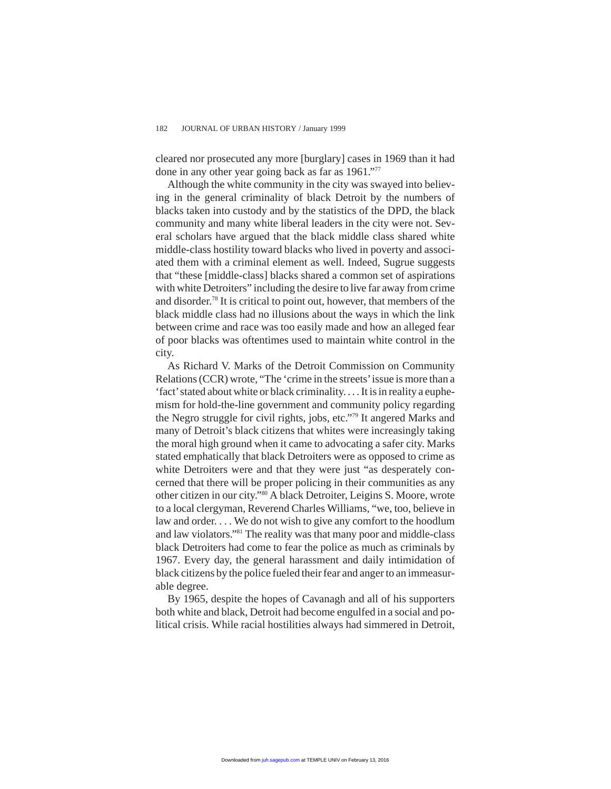cleared nor prosecuted any more [burglary] cases in 1969 than it had done in any other year going back as far as 1961."77

Although the white community in the city was swayed into believing in the general criminality of black Detroit by the numbers of blacks taken into custody and by the statistics of the DPD, the black community and many white liberal leaders in the city were not. Several scholars have argued that the black middle class shared white middle-class hostility toward blacks who lived in poverty and associated them with a criminal element as well. Indeed, Sugrue suggests that "these [middle-class] blacks shared a common set of aspirations with white Detroiters" including the desire to live far away from crime and disorder.78 It is critical to point out, however, that members of the black middle class had no illusions about the ways in which the link between crime and race was too easily made and how an alleged fear of poor blacks was oftentimes used to maintain white control in the city.

As Richard V. Marks of the Detroit Commission on Community Relations (CCR) wrote, "The 'crime in the streets'issue is more than a 'fact'stated about white or black criminality. . . . It is in reality a euphemism for hold-the-line government and community policy regarding the Negro struggle for civil rights, jobs, etc."79 It angered Marks and many of Detroit's black citizens that whites were increasingly taking the moral high ground when it came to advocating a safer city. Marks stated emphatically that black Detroiters were as opposed to crime as white Detroiters were and that they were just "as desperately concerned that there will be proper policing in their communities as any other citizen in our city."80 A black Detroiter, Leigins S. Moore, wrote to a local clergyman, Reverend Charles Williams, "we, too, believe in law and order. . . . We do not wish to give any comfort to the hoodlum and law violators."81 The reality was that many poor and middle-class black Detroiters had come to fear the police as much as criminals by 1967. Every day, the general harassment and daily intimidation of black citizens by the police fueled their fear and anger to an immeasurable degree.

By 1965, despite the hopes of Cavanagh and all of his supporters both white and black, Detroit had become engulfed in a social and political crisis. While racial hostilities always had simmered in Detroit,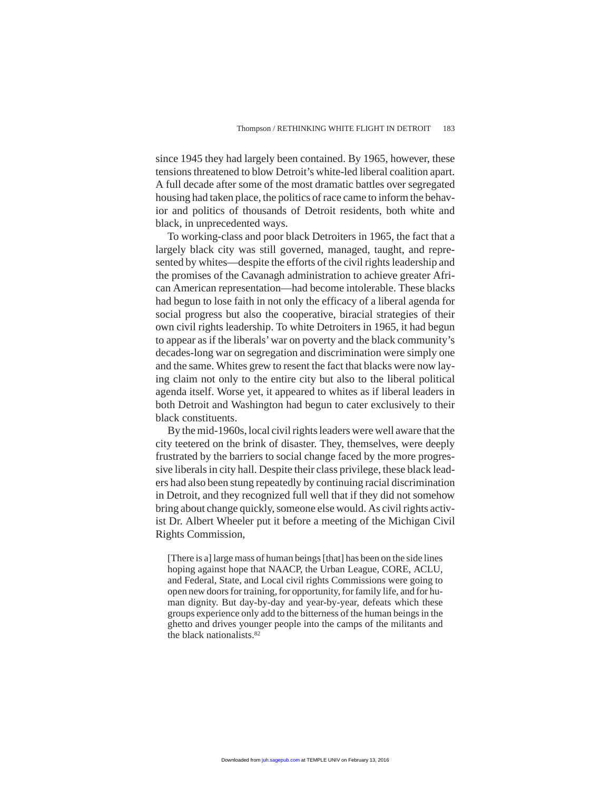since 1945 they had largely been contained. By 1965, however, these tensions threatened to blow Detroit's white-led liberal coalition apart. A full decade after some of the most dramatic battles over segregated housing had taken place, the politics of race came to inform the behavior and politics of thousands of Detroit residents, both white and black, in unprecedented ways.

To working-class and poor black Detroiters in 1965, the fact that a largely black city was still governed, managed, taught, and represented by whites—despite the efforts of the civil rights leadership and the promises of the Cavanagh administration to achieve greater African American representation—had become intolerable. These blacks had begun to lose faith in not only the efficacy of a liberal agenda for social progress but also the cooperative, biracial strategies of their own civil rights leadership. To white Detroiters in 1965, it had begun to appear as if the liberals'war on poverty and the black community's decades-long war on segregation and discrimination were simply one and the same. Whites grew to resent the fact that blacks were now laying claim not only to the entire city but also to the liberal political agenda itself. Worse yet, it appeared to whites as if liberal leaders in both Detroit and Washington had begun to cater exclusively to their black constituents.

By the mid-1960s, local civil rights leaders were well aware that the city teetered on the brink of disaster. They, themselves, were deeply frustrated by the barriers to social change faced by the more progressive liberals in city hall. Despite their class privilege, these black leaders had also been stung repeatedly by continuing racial discrimination in Detroit, and they recognized full well that if they did not somehow bring about change quickly, someone else would. As civil rights activist Dr. Albert Wheeler put it before a meeting of the Michigan Civil Rights Commission,

[There is a] large mass of human beings [that] has been on the side lines hoping against hope that NAACP, the Urban League, CORE, ACLU, and Federal, State, and Local civil rights Commissions were going to open new doors for training, for opportunity, for family life, and for human dignity. But day-by-day and year-by-year, defeats which these groups experience only add to the bitterness of the human beings in the ghetto and drives younger people into the camps of the militants and the black nationalists.<sup>82</sup>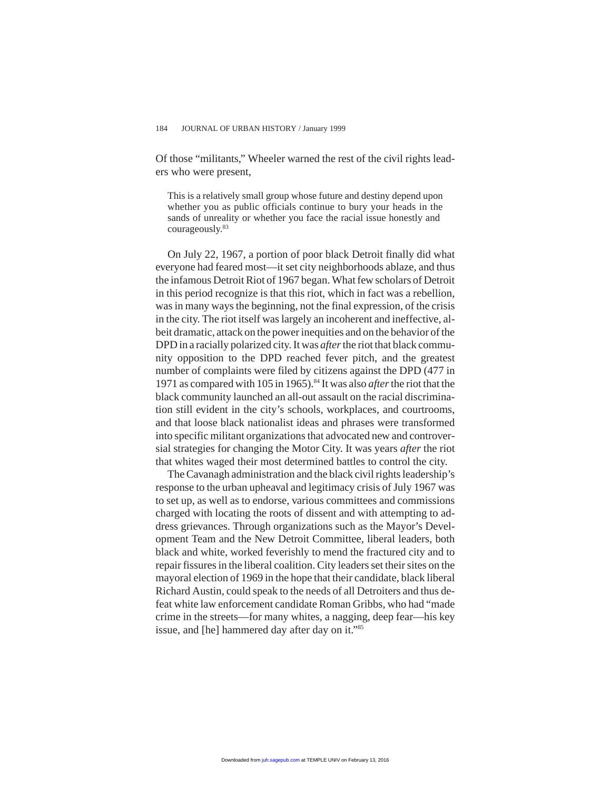Of those "militants," Wheeler warned the rest of the civil rights leaders who were present,

This is a relatively small group whose future and destiny depend upon whether you as public officials continue to bury your heads in the sands of unreality or whether you face the racial issue honestly and courageously.83

On July 22, 1967, a portion of poor black Detroit finally did what everyone had feared most—it set city neighborhoods ablaze, and thus the infamous Detroit Riot of 1967 began. What few scholars of Detroit in this period recognize is that this riot, which in fact was a rebellion, was in many ways the beginning, not the final expression, of the crisis in the city. The riot itself was largely an incoherent and ineffective, albeit dramatic, attack on the power inequities and on the behavior of the DPD in a racially polarized city. It was *after*the riot that black community opposition to the DPD reached fever pitch, and the greatest number of complaints were filed by citizens against the DPD (477 in 1971 as compared with 105 in 1965).84 It was also *after*the riot that the black community launched an all-out assault on the racial discrimination still evident in the city's schools, workplaces, and courtrooms, and that loose black nationalist ideas and phrases were transformed into specific militant organizations that advocated new and controversial strategies for changing the Motor City. It was years *after* the riot that whites waged their most determined battles to control the city.

The Cavanagh administration and the black civil rights leadership's response to the urban upheaval and legitimacy crisis of July 1967 was to set up, as well as to endorse, various committees and commissions charged with locating the roots of dissent and with attempting to address grievances. Through organizations such as the Mayor's Development Team and the New Detroit Committee, liberal leaders, both black and white, worked feverishly to mend the fractured city and to repair fissures in the liberal coalition. City leaders set their sites on the mayoral election of 1969 in the hope that their candidate, black liberal Richard Austin, could speak to the needs of all Detroiters and thus defeat white law enforcement candidate Roman Gribbs, who had "made crime in the streets—for many whites, a nagging, deep fear—his key issue, and [he] hammered day after day on it."85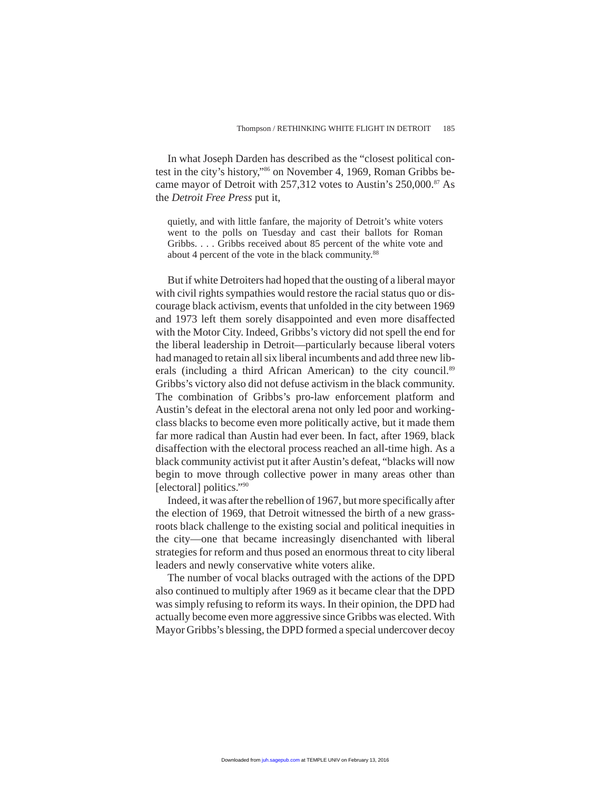In what Joseph Darden has described as the "closest political contest in the city's history,"86 on November 4, 1969, Roman Gribbs became mayor of Detroit with 257,312 votes to Austin's 250,000.87 As the *Detroit Free Press* put it,

quietly, and with little fanfare, the majority of Detroit's white voters went to the polls on Tuesday and cast their ballots for Roman Gribbs.... Gribbs received about 85 percent of the white vote and about 4 percent of the vote in the black community.88

But if white Detroiters had hoped that the ousting of a liberal mayor with civil rights sympathies would restore the racial status quo or discourage black activism, events that unfolded in the city between 1969 and 1973 left them sorely disappointed and even more disaffected with the Motor City. Indeed, Gribbs's victory did not spell the end for the liberal leadership in Detroit—particularly because liberal voters had managed to retain all six liberal incumbents and add three new liberals (including a third African American) to the city council.<sup>89</sup> Gribbs's victory also did not defuse activism in the black community. The combination of Gribbs's pro-law enforcement platform and Austin's defeat in the electoral arena not only led poor and workingclass blacks to become even more politically active, but it made them far more radical than Austin had ever been. In fact, after 1969, black disaffection with the electoral process reached an all-time high. As a black community activist put it after Austin's defeat, "blacks will now begin to move through collective power in many areas other than [electoral] politics."90

Indeed, it was after the rebellion of 1967, but more specifically after the election of 1969, that Detroit witnessed the birth of a new grassroots black challenge to the existing social and political inequities in the city—one that became increasingly disenchanted with liberal strategies for reform and thus posed an enormous threat to city liberal leaders and newly conservative white voters alike.

The number of vocal blacks outraged with the actions of the DPD also continued to multiply after 1969 as it became clear that the DPD was simply refusing to reform its ways. In their opinion, the DPD had actually become even more aggressive since Gribbs was elected. With Mayor Gribbs's blessing, the DPD formed a special undercover decoy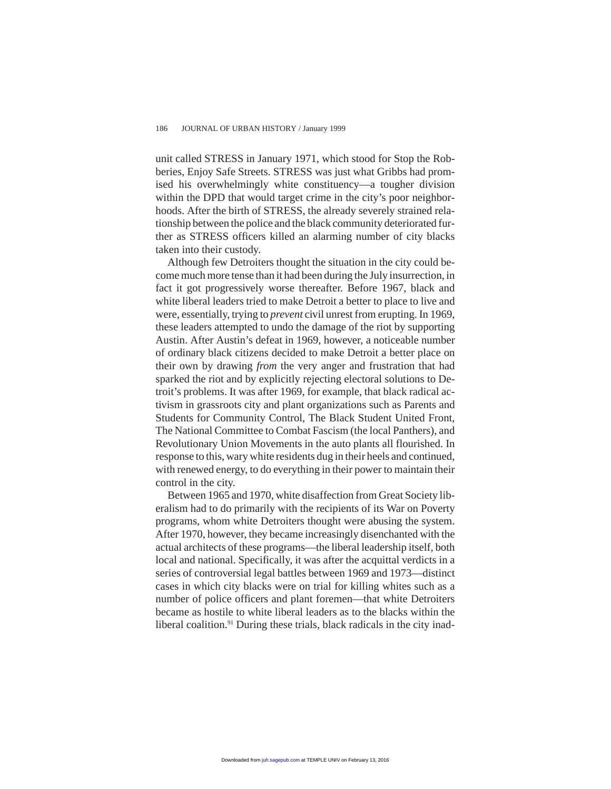unit called STRESS in January 1971, which stood for Stop the Robberies, Enjoy Safe Streets. STRESS was just what Gribbs had promised his overwhelmingly white constituency—a tougher division within the DPD that would target crime in the city's poor neighborhoods. After the birth of STRESS, the already severely strained relationship between the police and the black community deteriorated further as STRESS officers killed an alarming number of city blacks taken into their custody.

Although few Detroiters thought the situation in the city could become much more tense than it had been during the July insurrection, in fact it got progressively worse thereafter. Before 1967, black and white liberal leaders tried to make Detroit a better to place to live and were, essentially, trying to *prevent* civil unrest from erupting. In 1969, these leaders attempted to undo the damage of the riot by supporting Austin. After Austin's defeat in 1969, however, a noticeable number of ordinary black citizens decided to make Detroit a better place on their own by drawing *from* the very anger and frustration that had sparked the riot and by explicitly rejecting electoral solutions to Detroit's problems. It was after 1969, for example, that black radical activism in grassroots city and plant organizations such as Parents and Students for Community Control, The Black Student United Front, The National Committee to Combat Fascism (the local Panthers), and Revolutionary Union Movements in the auto plants all flourished. In response to this, wary white residents dug in their heels and continued, with renewed energy, to do everything in their power to maintain their control in the city.

Between 1965 and 1970, white disaffection from Great Society liberalism had to do primarily with the recipients of its War on Poverty programs, whom white Detroiters thought were abusing the system. After 1970, however, they became increasingly disenchanted with the actual architects of these programs—the liberal leadership itself, both local and national. Specifically, it was after the acquittal verdicts in a series of controversial legal battles between 1969 and 1973—distinct cases in which city blacks were on trial for killing whites such as a number of police officers and plant foremen—that white Detroiters became as hostile to white liberal leaders as to the blacks within the liberal coalition.<sup>91</sup> During these trials, black radicals in the city inad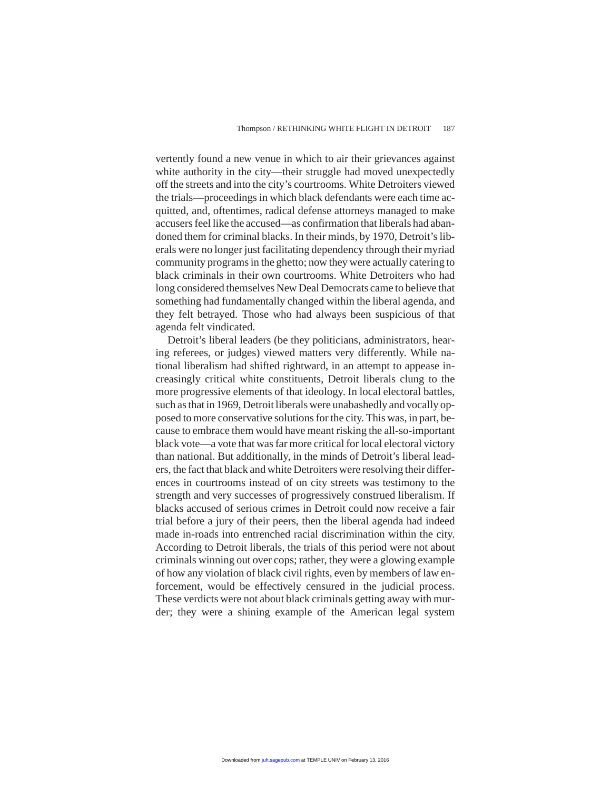vertently found a new venue in which to air their grievances against white authority in the city—their struggle had moved unexpectedly off the streets and into the city's courtrooms. White Detroiters viewed the trials—proceedings in which black defendants were each time acquitted, and, oftentimes, radical defense attorneys managed to make accusers feel like the accused—as confirmation that liberals had abandoned them for criminal blacks. In their minds, by 1970, Detroit's liberals were no longer just facilitating dependency through their myriad community programs in the ghetto; now they were actually catering to black criminals in their own courtrooms. White Detroiters who had long considered themselves New Deal Democrats came to believe that something had fundamentally changed within the liberal agenda, and they felt betrayed. Those who had always been suspicious of that agenda felt vindicated.

Detroit's liberal leaders (be they politicians, administrators, hearing referees, or judges) viewed matters very differently. While national liberalism had shifted rightward, in an attempt to appease increasingly critical white constituents, Detroit liberals clung to the more progressive elements of that ideology. In local electoral battles, such as that in 1969, Detroit liberals were unabashedly and vocally opposed to more conservative solutions for the city. This was, in part, because to embrace them would have meant risking the all-so-important black vote—a vote that was far more critical for local electoral victory than national. But additionally, in the minds of Detroit's liberal leaders, the fact that black and white Detroiters were resolving their differences in courtrooms instead of on city streets was testimony to the strength and very successes of progressively construed liberalism. If blacks accused of serious crimes in Detroit could now receive a fair trial before a jury of their peers, then the liberal agenda had indeed made in-roads into entrenched racial discrimination within the city. According to Detroit liberals, the trials of this period were not about criminals winning out over cops; rather, they were a glowing example of how any violation of black civil rights, even by members of law enforcement, would be effectively censured in the judicial process. These verdicts were not about black criminals getting away with murder; they were a shining example of the American legal system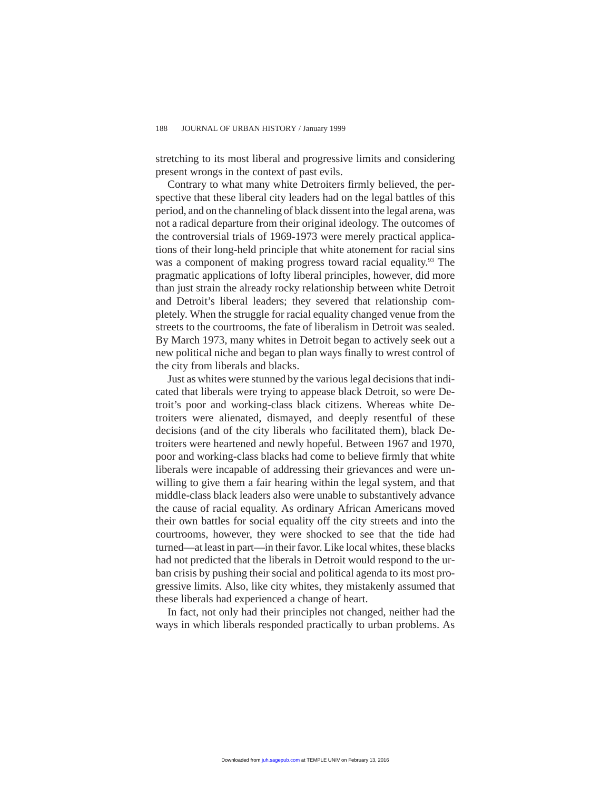stretching to its most liberal and progressive limits and considering present wrongs in the context of past evils.

Contrary to what many white Detroiters firmly believed, the perspective that these liberal city leaders had on the legal battles of this period, and on the channeling of black dissent into the legal arena, was not a radical departure from their original ideology. The outcomes of the controversial trials of 1969-1973 were merely practical applications of their long-held principle that white atonement for racial sins was a component of making progress toward racial equality.<sup>93</sup> The pragmatic applications of lofty liberal principles, however, did more than just strain the already rocky relationship between white Detroit and Detroit's liberal leaders; they severed that relationship completely. When the struggle for racial equality changed venue from the streets to the courtrooms, the fate of liberalism in Detroit was sealed. By March 1973, many whites in Detroit began to actively seek out a new political niche and began to plan ways finally to wrest control of the city from liberals and blacks.

Just as whites were stunned by the various legal decisions that indicated that liberals were trying to appease black Detroit, so were Detroit's poor and working-class black citizens. Whereas white Detroiters were alienated, dismayed, and deeply resentful of these decisions (and of the city liberals who facilitated them), black Detroiters were heartened and newly hopeful. Between 1967 and 1970, poor and working-class blacks had come to believe firmly that white liberals were incapable of addressing their grievances and were unwilling to give them a fair hearing within the legal system, and that middle-class black leaders also were unable to substantively advance the cause of racial equality. As ordinary African Americans moved their own battles for social equality off the city streets and into the courtrooms, however, they were shocked to see that the tide had turned—at least in part—in their favor. Like local whites, these blacks had not predicted that the liberals in Detroit would respond to the urban crisis by pushing their social and political agenda to its most progressive limits. Also, like city whites, they mistakenly assumed that these liberals had experienced a change of heart.

In fact, not only had their principles not changed, neither had the ways in which liberals responded practically to urban problems. As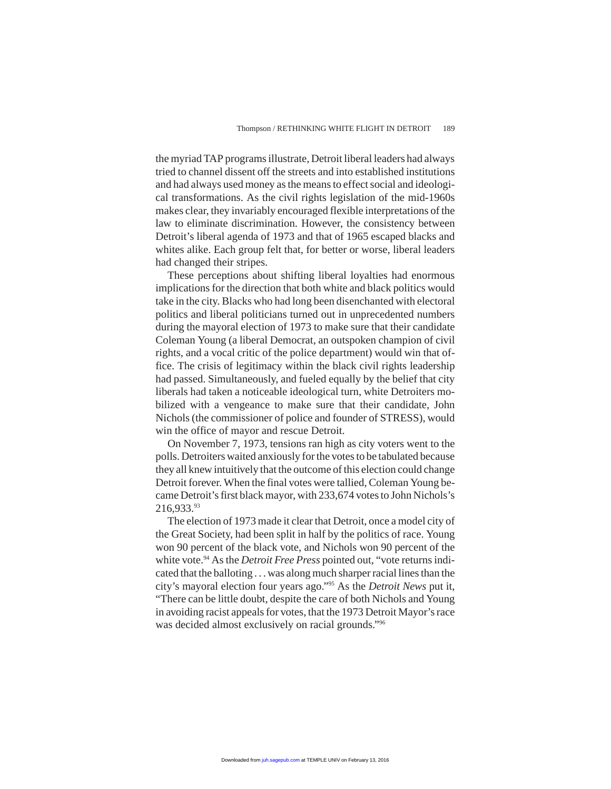the myriad TAP programs illustrate, Detroit liberal leaders had always tried to channel dissent off the streets and into established institutions and had always used money as the means to effect social and ideological transformations. As the civil rights legislation of the mid-1960s makes clear, they invariably encouraged flexible interpretations of the law to eliminate discrimination. However, the consistency between Detroit's liberal agenda of 1973 and that of 1965 escaped blacks and whites alike. Each group felt that, for better or worse, liberal leaders had changed their stripes.

These perceptions about shifting liberal loyalties had enormous implications for the direction that both white and black politics would take in the city. Blacks who had long been disenchanted with electoral politics and liberal politicians turned out in unprecedented numbers during the mayoral election of 1973 to make sure that their candidate Coleman Young (a liberal Democrat, an outspoken champion of civil rights, and a vocal critic of the police department) would win that office. The crisis of legitimacy within the black civil rights leadership had passed. Simultaneously, and fueled equally by the belief that city liberals had taken a noticeable ideological turn, white Detroiters mobilized with a vengeance to make sure that their candidate, John Nichols (the commissioner of police and founder of STRESS), would win the office of mayor and rescue Detroit.

On November 7, 1973, tensions ran high as city voters went to the polls. Detroiters waited anxiously for the votes to be tabulated because they all knew intuitively that the outcome of this election could change Detroit forever. When the final votes were tallied, Coleman Young became Detroit's first black mayor, with 233,674 votes to John Nichols's 216,933.93

The election of 1973 made it clear that Detroit, once a model city of the Great Society, had been split in half by the politics of race. Young won 90 percent of the black vote, and Nichols won 90 percent of the white vote.<sup>94</sup> As the *Detroit Free Press* pointed out, "vote returns indicated that the balloting . . . was along much sharper racial lines than the city's mayoral election four years ago."95 As the *Detroit News* put it, "There can be little doubt, despite the care of both Nichols and Young in avoiding racist appeals for votes, that the 1973 Detroit Mayor's race was decided almost exclusively on racial grounds."96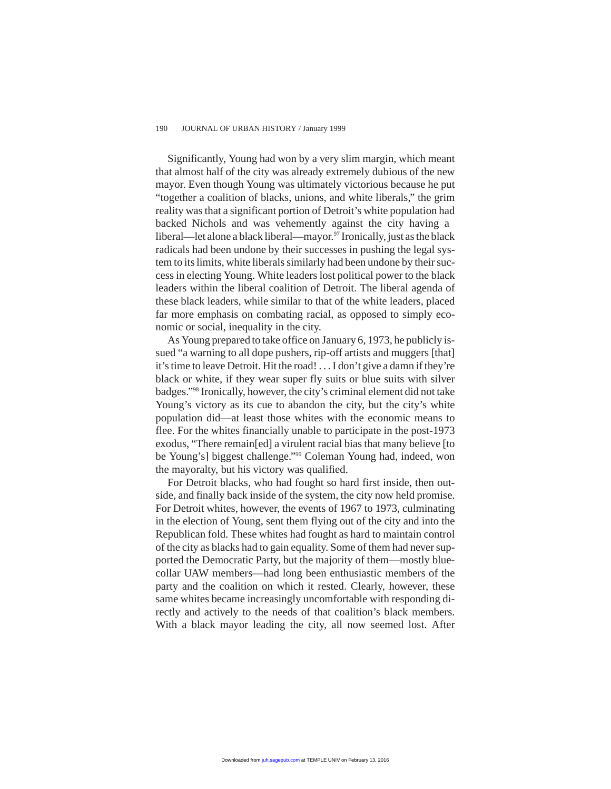Significantly, Young had won by a very slim margin, which meant that almost half of the city was already extremely dubious of the new mayor. Even though Young was ultimately victorious because he put "together a coalition of blacks, unions, and white liberals," the grim reality was that a significant portion of Detroit's white population had backed Nichols and was vehemently against the city having a liberal—let alone a black liberal—mayor.<sup>97</sup> Ironically, just as the black radicals had been undone by their successes in pushing the legal system to its limits, white liberals similarly had been undone by their success in electing Young. White leaders lost political power to the black leaders within the liberal coalition of Detroit. The liberal agenda of these black leaders, while similar to that of the white leaders, placed far more emphasis on combating racial, as opposed to simply economic or social, inequality in the city.

As Young prepared to take office on January 6, 1973, he publicly issued "a warning to all dope pushers, rip-off artists and muggers [that] it's time to leave Detroit. Hit the road!...I don't give a damn if they're black or white, if they wear super fly suits or blue suits with silver badges."98 Ironically, however, the city's criminal element did not take Young's victory as its cue to abandon the city, but the city's white population did—at least those whites with the economic means to flee. For the whites financially unable to participate in the post-1973 exodus, "There remain[ed] a virulent racial bias that many believe [to be Young's] biggest challenge."99 Coleman Young had, indeed, won the mayoralty, but his victory was qualified.

For Detroit blacks, who had fought so hard first inside, then outside, and finally back inside of the system, the city now held promise. For Detroit whites, however, the events of 1967 to 1973, culminating in the election of Young, sent them flying out of the city and into the Republican fold. These whites had fought as hard to maintain control of the city as blacks had to gain equality. Some of them had never supported the Democratic Party, but the majority of them—mostly bluecollar UAW members—had long been enthusiastic members of the party and the coalition on which it rested. Clearly, however, these same whites became increasingly uncomfortable with responding directly and actively to the needs of that coalition's black members. With a black mayor leading the city, all now seemed lost. After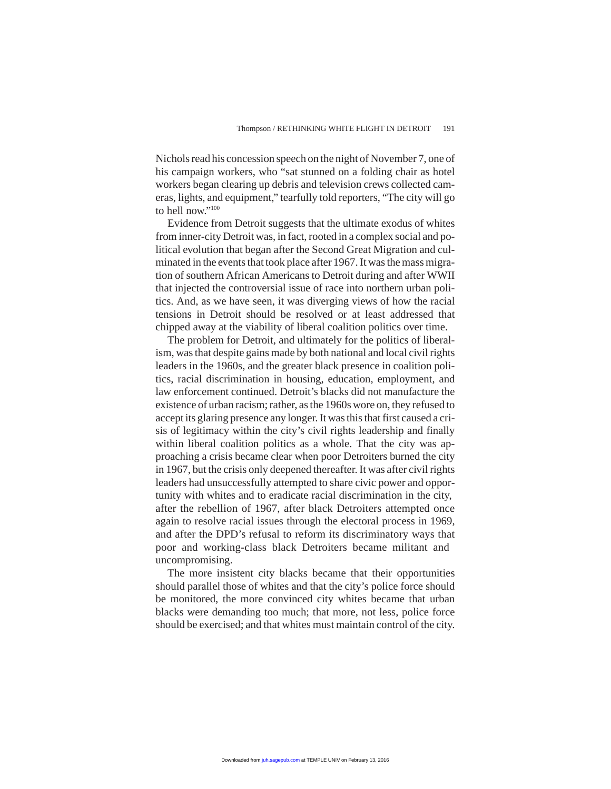Nichols read his concession speech on the night of November 7, one of his campaign workers, who "sat stunned on a folding chair as hotel workers began clearing up debris and television crews collected cameras, lights, and equipment," tearfully told reporters, "The city will go to hell now."100

Evidence from Detroit suggests that the ultimate exodus of whites from inner-city Detroit was, in fact, rooted in a complex social and political evolution that began after the Second Great Migration and culminated in the events that took place after 1967. It was the mass migration of southern African Americans to Detroit during and after WWII that injected the controversial issue of race into northern urban politics. And, as we have seen, it was diverging views of how the racial tensions in Detroit should be resolved or at least addressed that chipped away at the viability of liberal coalition politics over time.

The problem for Detroit, and ultimately for the politics of liberalism, was that despite gains made by both national and local civil rights leaders in the 1960s, and the greater black presence in coalition politics, racial discrimination in housing, education, employment, and law enforcement continued. Detroit's blacks did not manufacture the existence of urban racism; rather, as the 1960s wore on, they refused to accept its glaring presence any longer. It was this that first caused a crisis of legitimacy within the city's civil rights leadership and finally within liberal coalition politics as a whole. That the city was approaching a crisis became clear when poor Detroiters burned the city in 1967, but the crisis only deepened thereafter. It was after civil rights leaders had unsuccessfully attempted to share civic power and opportunity with whites and to eradicate racial discrimination in the city, after the rebellion of 1967, after black Detroiters attempted once again to resolve racial issues through the electoral process in 1969, and after the DPD's refusal to reform its discriminatory ways that poor and working-class black Detroiters became militant and uncompromising.

The more insistent city blacks became that their opportunities should parallel those of whites and that the city's police force should be monitored, the more convinced city whites became that urban blacks were demanding too much; that more, not less, police force should be exercised; and that whites must maintain control of the city.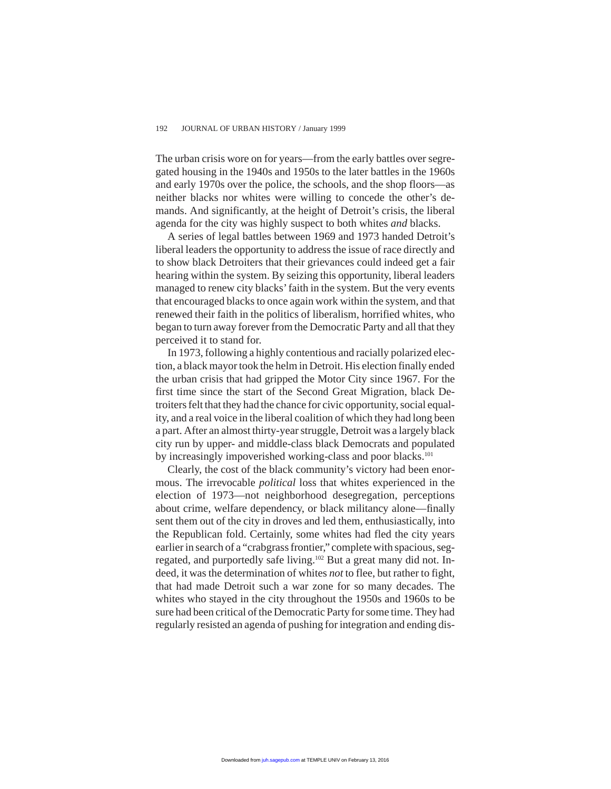The urban crisis wore on for years—from the early battles over segregated housing in the 1940s and 1950s to the later battles in the 1960s and early 1970s over the police, the schools, and the shop floors—as neither blacks nor whites were willing to concede the other's demands. And significantly, at the height of Detroit's crisis, the liberal agenda for the city was highly suspect to both whites *and* blacks.

A series of legal battles between 1969 and 1973 handed Detroit's liberal leaders the opportunity to address the issue of race directly and to show black Detroiters that their grievances could indeed get a fair hearing within the system. By seizing this opportunity, liberal leaders managed to renew city blacks'faith in the system. But the very events that encouraged blacks to once again work within the system, and that renewed their faith in the politics of liberalism, horrified whites, who began to turn away forever from the Democratic Party and all that they perceived it to stand for.

In 1973, following a highly contentious and racially polarized election, a black mayor took the helm in Detroit. His election finally ended the urban crisis that had gripped the Motor City since 1967. For the first time since the start of the Second Great Migration, black Detroiters felt that they had the chance for civic opportunity, social equality, and a real voice in the liberal coalition of which they had long been a part. After an almost thirty-year struggle, Detroit was a largely black city run by upper- and middle-class black Democrats and populated by increasingly impoverished working-class and poor blacks.<sup>101</sup>

Clearly, the cost of the black community's victory had been enormous. The irrevocable *political* loss that whites experienced in the election of 1973—not neighborhood desegregation, perceptions about crime, welfare dependency, or black militancy alone—finally sent them out of the city in droves and led them, enthusiastically, into the Republican fold. Certainly, some whites had fled the city years earlier in search of a "crabgrass frontier," complete with spacious, segregated, and purportedly safe living.102 But a great many did not. Indeed, it was the determination of whites *not* to flee, but rather to fight, that had made Detroit such a war zone for so many decades. The whites who stayed in the city throughout the 1950s and 1960s to be sure had been critical of the Democratic Party for some time. They had regularly resisted an agenda of pushing for integration and ending dis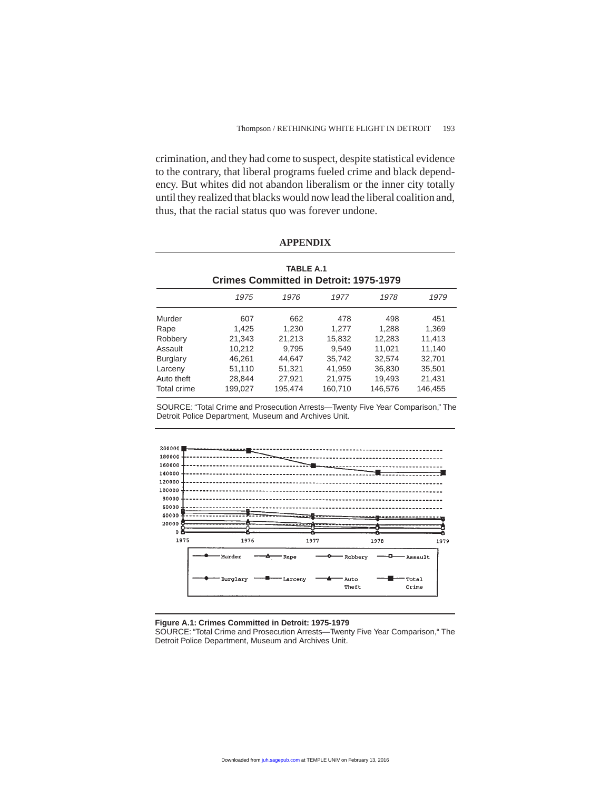crimination, and they had come to suspect, despite statistical evidence to the contrary, that liberal programs fueled crime and black dependency. But whites did not abandon liberalism or the inner city totally until they realized that blacks would now lead the liberal coalition and, thus, that the racial status quo was forever undone.

| <b>TABLE A.1</b><br><b>Crimes Committed in Detroit: 1975-1979</b> |         |         |         |         |         |  |  |
|-------------------------------------------------------------------|---------|---------|---------|---------|---------|--|--|
|                                                                   | 1975    | 1976    | 1977    | 1978    | 1979    |  |  |
| Murder                                                            | 607     | 662     | 478     | 498     | 451     |  |  |
| Rape                                                              | 1.425   | 1.230   | 1.277   | 1.288   | 1,369   |  |  |
| Robbery                                                           | 21,343  | 21,213  | 15,832  | 12,283  | 11.413  |  |  |
| Assault                                                           | 10.212  | 9.795   | 9.549   | 11.021  | 11.140  |  |  |
| <b>Burglary</b>                                                   | 46.261  | 44.647  | 35.742  | 32.574  | 32.701  |  |  |
| Larceny                                                           | 51,110  | 51,321  | 41,959  | 36,830  | 35,501  |  |  |
| Auto theft                                                        | 28.844  | 27,921  | 21,975  | 19,493  | 21.431  |  |  |
| <b>Total crime</b>                                                | 199.027 | 195,474 | 160.710 | 146.576 | 146.455 |  |  |

**APPENDIX**

SOURCE: "Total Crime and Prosecution Arrests—Twenty Five Year Comparison," The Detroit Police Department, Museum and Archives Unit.



**Figure A.1: Crimes Committed in Detroit: 1975-1979**

SOURCE: "Total Crime and Prosecution Arrests—Twenty Five Year Comparison," The Detroit Police Department, Museum and Archives Unit.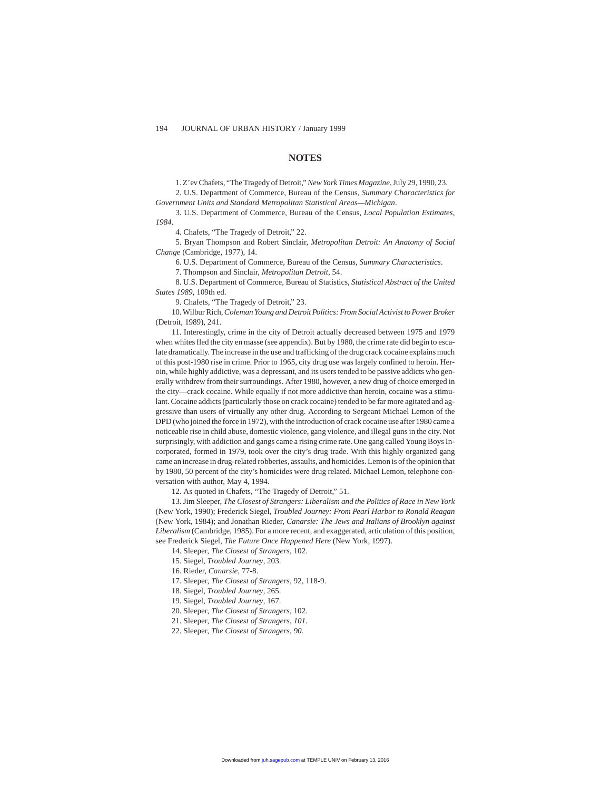## **NOTES**

1. Z'ev Chafets, "The Tragedy of Detroit,"*New York Times Magazine*, July 29, 1990, 23.

2. U.S. Department of Commerce, Bureau of the Census, *Summary Characteristics for Government Units and Standard Metropolitan Statistical Areas—Michigan*.

3. U.S. Department of Commerce, Bureau of the Census, *Local Population Estimates, 1984*.

4. Chafets, "The Tragedy of Detroit," 22.

5. Bryan Thompson and Robert Sinclair, *Metropolitan Detroit: An Anatomy of Social Change* (Cambridge, 1977), 14.

6. U.S. Department of Commerce, Bureau of the Census, *Summary Characteristics*.

7. Thompson and Sinclair, *Metropolitan Detroit*, 54.

8. U.S. Department of Commerce, Bureau of Statistics, *Statistical Abstract of the United States 1989*, 109th ed.

9. Chafets, "The Tragedy of Detroit," 23.

10. Wilbur Rich,*Coleman Young and Detroit Politics: From Social Activist to Power Broker* (Detroit, 1989), 241.

11. Interestingly, crime in the city of Detroit actually decreased between 1975 and 1979 when whites fled the city en masse (see appendix). But by 1980, the crime rate did begin to escalate dramatically. The increase in the use and trafficking of the drug crack cocaine explains much of this post-1980 rise in crime. Prior to 1965, city drug use was largely confined to heroin. Heroin, while highly addictive, was a depressant, and its users tended to be passive addicts who generally withdrew from their surroundings. After 1980, however, a new drug of choice emerged in the city—crack cocaine. While equally if not more addictive than heroin, cocaine was a stimulant. Cocaine addicts (particularly those on crack cocaine) tended to be far more agitated and aggressive than users of virtually any other drug. According to Sergeant Michael Lemon of the DPD (who joined the force in 1972), with the introduction of crack cocaine use after 1980 came a noticeable rise in child abuse, domestic violence, gang violence, and illegal guns in the city. Not surprisingly, with addiction and gangs came a rising crime rate. One gang called Young Boys Incorporated, formed in 1979, took over the city's drug trade. With this highly organized gang came an increase in drug-related robberies, assaults, and homicides. Lemon is of the opinion that by 1980, 50 percent of the city's homicides were drug related. Michael Lemon, telephone conversation with author, May 4, 1994.

12. As quoted in Chafets, "The Tragedy of Detroit," 51.

13. Jim Sleeper, *The Closest of Strangers: Liberalism and the Politics of Race in New York* (New York, 1990); Frederick Siegel, *Troubled Journey: From Pearl Harbor to Ronald Reagan* (New York, 1984); and Jonathan Rieder, *Canarsie: The Jews and Italians of Brooklyn against Liberalism* (Cambridge, 1985). For a more recent, and exaggerated, articulation of this position, see Frederick Siegel, *The Future Once Happened Here* (New York, 1997).

14. Sleeper, *The Closest of Strangers*, 102.

15. Siegel, *Troubled Journey*, 203.

16. Rieder, *Canarsie*, 77-8.

17. Sleeper, *The Closest of Strangers*, 92, 118-9.

18. Siegel, *Troubled Journey*, 265.

19. Siegel, *Troubled Journey*, 167.

20. Sleeper, *The Closest of Strangers*, 102.

21. Sleeper, *The Closest of Strangers, 101.*

22. Sleeper, *The Closest of Strangers, 90.*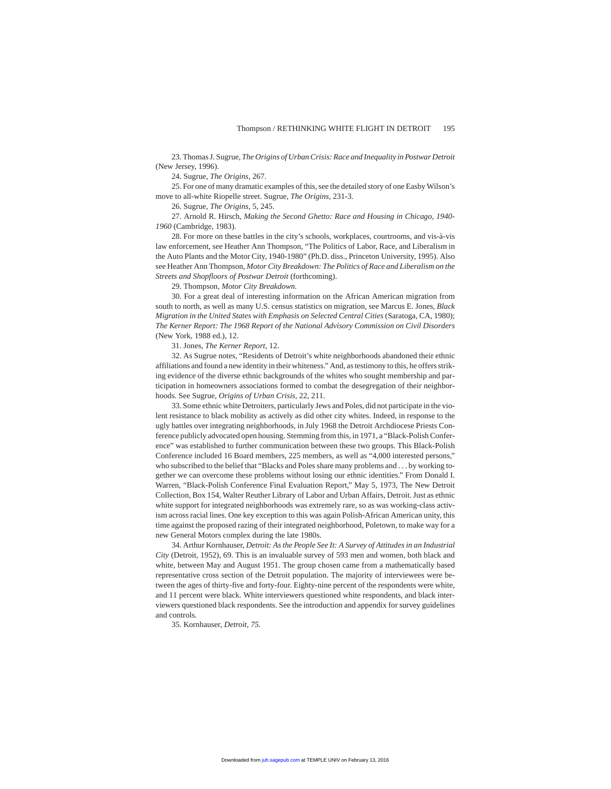23. Thomas J. Sugrue, *The Origins of Urban Crisis: Race and Inequality in Postwar Detroit* (New Jersey, 1996).

24. Sugrue, *The Origins*, 267.

25. For one of many dramatic examples of this, see the detailed story of one Easby Wilson's move to all-white Riopelle street. Sugrue, *The Origins*, 231-3.

26. Sugrue, *The Origins*, 5, 245.

27. Arnold R. Hirsch, *Making the Second Ghetto: Race and Housing in Chicago, 1940- 1960* (Cambridge, 1983).

28. For more on these battles in the city's schools, workplaces, courtrooms, and vis-à-vis law enforcement, see Heather Ann Thompson, "The Politics of Labor, Race, and Liberalism in the Auto Plants and the Motor City, 1940-1980" (Ph.D. diss., Princeton University, 1995). Also see Heather Ann Thompson, *Motor City Breakdown: The Politics of Race and Liberalism on the Streets and Shopfloors of Postwar Detroit* (forthcoming).

29. Thompson, *Motor City Breakdown.*

30. For a great deal of interesting information on the African American migration from south to north, as well as many U.S. census statistics on migration, see Marcus E. Jones, *Black Migration in the United States with Emphasis on Selected Central Cities* (Saratoga, CA, 1980); *The Kerner Report: The 1968 Report of the National Advisory Commission on Civil Disorders* (New York, 1988 ed.), 12.

31. Jones, *The Kerner Report*, 12.

32. As Sugrue notes, "Residents of Detroit's white neighborhoods abandoned their ethnic affiliations and found a new identity in their whiteness." And, as testimony to this, he offers striking evidence of the diverse ethnic backgrounds of the whites who sought membership and participation in homeowners associations formed to combat the desegregation of their neighborhoods. See Sugrue, *Origins of Urban Crisis*, 22, 211.

33. Some ethnic white Detroiters, particularly Jews and Poles, did not participate in the violent resistance to black mobility as actively as did other city whites. Indeed, in response to the ugly battles over integrating neighborhoods, in July 1968 the Detroit Archdiocese Priests Conference publicly advocated open housing. Stemming from this, in 1971, a "Black-Polish Conference" was established to further communication between these two groups. This Black-Polish Conference included 16 Board members, 225 members, as well as "4,000 interested persons," who subscribed to the belief that "Blacks and Poles share many problems and . . . by working together we can overcome these problems without losing our ethnic identities." From Donald I. Warren, "Black-Polish Conference Final Evaluation Report," May 5, 1973, The New Detroit Collection, Box 154, Walter Reuther Library of Labor and Urban Affairs, Detroit. Just as ethnic white support for integrated neighborhoods was extremely rare, so as was working-class activism across racial lines. One key exception to this was again Polish-African American unity, this time against the proposed razing of their integrated neighborhood, Poletown, to make way for a new General Motors complex during the late 1980s.

34. Arthur Kornhauser, *Detroit: As the People See It: A Survey of Attitudes in an Industrial City* (Detroit, 1952), 69. This is an invaluable survey of 593 men and women, both black and white, between May and August 1951. The group chosen came from a mathematically based representative cross section of the Detroit population. The majority of interviewees were between the ages of thirty-five and forty-four. Eighty-nine percent of the respondents were white, and 11 percent were black. White interviewers questioned white respondents, and black interviewers questioned black respondents. See the introduction and appendix for survey guidelines and controls.

35. Kornhauser, *Detroit, 75.*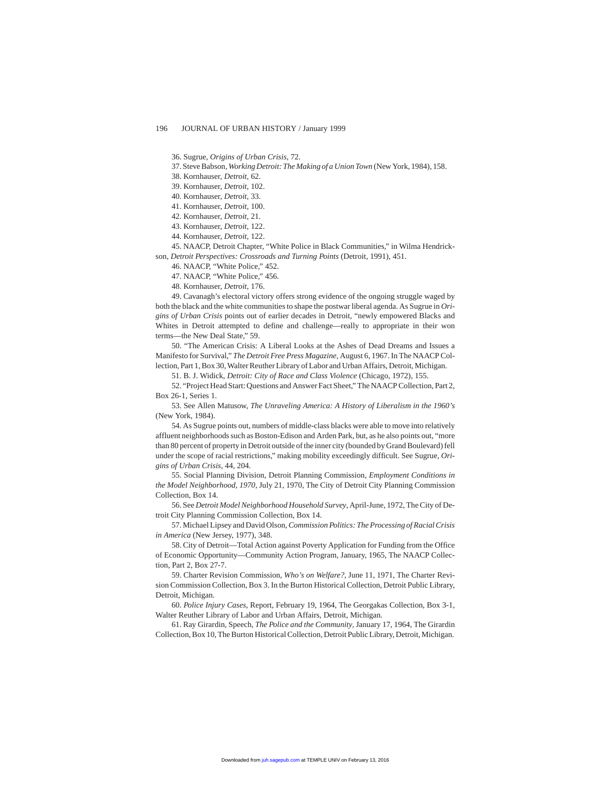36. Sugrue, *Origins of Urban Crisis*, 72.

37. Steve Babson, *Working Detroit: The Making of a Union Town* (New York, 1984), 158.

38. Kornhauser, *Detroit*, 62.

39. Kornhauser, *Detroit*, 102.

40. Kornhauser, *Detroit*, 33.

41. Kornhauser, *Detroit*, 100.

42. Kornhauser, *Detroit*, 21.

43. Kornhauser, *Detroit*, 122.

44. Kornhauser, *Detroit*, 122.

45. NAACP, Detroit Chapter, "White Police in Black Communities," in Wilma Hendrickson, *Detroit Perspectives: Crossroads and Turning Points* (Detroit, 1991), 451.

46. NAACP, "White Police," 452.

47. NAACP, "White Police," 456.

48. Kornhauser, *Detroit*, 176.

49. Cavanagh's electoral victory offers strong evidence of the ongoing struggle waged by both the black and the white communities to shape the postwar liberal agenda. As Sugrue in *Origins of Urban Crisis* points out of earlier decades in Detroit, "newly empowered Blacks and Whites in Detroit attempted to define and challenge—really to appropriate in their won terms—the New Deal State," 59.

50. "The American Crisis: A Liberal Looks at the Ashes of Dead Dreams and Issues a Manifesto for Survival," *The Detroit Free Press Magazine*, August 6, 1967. In The NAACP Collection, Part 1, Box 30, Walter Reuther Library of Labor and Urban Affairs, Detroit, Michigan.

51. B. J. Widick, *Detroit: City of Race and Class Violence* (Chicago, 1972), 155.

52. "Project Head Start: Questions and Answer Fact Sheet," The NAACP Collection, Part 2, Box 26-1, Series 1.

53. See Allen Matusow, *The Unraveling America: A History of Liberalism in the 1960's* (New York, 1984).

54. As Sugrue points out, numbers of middle-class blacks were able to move into relatively affluent neighborhoods such as Boston-Edison and Arden Park, but, as he also points out, "more than 80 percent of property in Detroit outside of the inner city (bounded by Grand Boulevard) fell under the scope of racial restrictions," making mobility exceedingly difficult. See Sugrue, *Origins of Urban Crisis*, 44, 204.

55. Social Planning Division, Detroit Planning Commission, *Employment Conditions in the Model Neighborhood, 1970*, July 21, 1970, The City of Detroit City Planning Commission Collection, Box 14.

56. See *Detroit Model Neighborhood Household Survey*, April-June, 1972, The City of Detroit City Planning Commission Collection, Box 14.

57. Michael Lipsey and David Olson,*Commission Politics: The Processing of Racial Crisis in America* (New Jersey, 1977), 348.

58. City of Detroit—Total Action against Poverty Application for Funding from the Office of Economic Opportunity—Community Action Program, January, 1965, The NAACP Collection, Part 2, Box 27-7.

59. Charter Revision Commission, *Who's on Welfare?*, June 11, 1971, The Charter Revision Commission Collection, Box 3. In the Burton Historical Collection, Detroit Public Library, Detroit, Michigan.

60. *Police Injury Cases*, Report, February 19, 1964, The Georgakas Collection, Box 3-1, Walter Reuther Library of Labor and Urban Affairs, Detroit, Michigan.

61. Ray Girardin, Speech, *The Police and the Community*, January 17, 1964, The Girardin Collection, Box 10, The Burton Historical Collection, Detroit Public Library, Detroit, Michigan.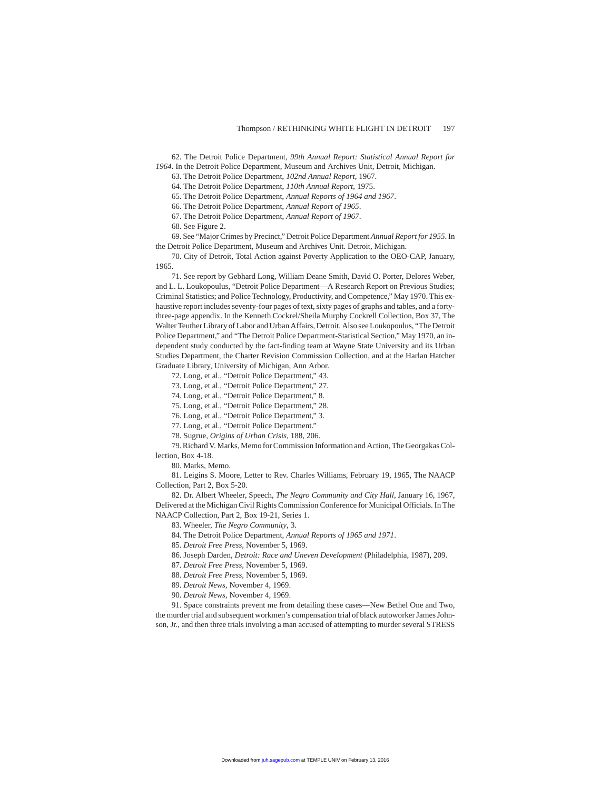62. The Detroit Police Department, *99th Annual Report: Statistical Annual Report for 1964*. In the Detroit Police Department, Museum and Archives Unit, Detroit, Michigan.

63. The Detroit Police Department, *102nd Annual Report*, 1967.

64. The Detroit Police Department, *110th Annual Report*, 1975.

65. The Detroit Police Department, *Annual Reports of 1964 and 1967*.

66. The Detroit Police Department, *Annual Report of 1965*.

67. The Detroit Police Department, *Annual Report of 1967*.

68. See Figure 2.

69. See "Major Crimes by Precinct," Detroit Police Department *Annual Report for 1955*. In the Detroit Police Department, Museum and Archives Unit. Detroit, Michigan.

70. City of Detroit, Total Action against Poverty Application to the OEO-CAP, January, 1965.

71. See report by Gebhard Long, William Deane Smith, David O. Porter, Delores Weber, and L. L. Loukopoulus, "Detroit Police Department—A Research Report on Previous Studies; Criminal Statistics; and Police Technology, Productivity, and Competence," May 1970. This exhaustive report includes seventy-four pages of text, sixty pages of graphs and tables, and a fortythree-page appendix. In the Kenneth Cockrel/Sheila Murphy Cockrell Collection, Box 37, The Walter Teuther Library of Labor and Urban Affairs, Detroit. Also see Loukopoulus, "The Detroit Police Department," and "The Detroit Police Department-Statistical Section," May 1970, an independent study conducted by the fact-finding team at Wayne State University and its Urban Studies Department, the Charter Revision Commission Collection, and at the Harlan Hatcher Graduate Library, University of Michigan, Ann Arbor.

72. Long, et al., "Detroit Police Department," 43.

73. Long, et al., "Detroit Police Department," 27.

74. Long, et al., "Detroit Police Department," 8.

75. Long, et al., "Detroit Police Department," 28.

76. Long, et al., "Detroit Police Department," 3.

77. Long, et al., "Detroit Police Department."

78. Sugrue, *Origins of Urban Crisis*, 188, 206.

79. Richard V. Marks, Memo for Commission Information and Action, The Georgakas Collection, Box 4-18.

80. Marks, Memo.

81. Leigins S. Moore, Letter to Rev. Charles Williams, February 19, 1965, The NAACP Collection, Part 2, Box 5-20.

82. Dr. Albert Wheeler, Speech, *The Negro Community and City Hall*, January 16, 1967, Delivered at the Michigan Civil Rights Commission Conference for Municipal Officials. In The NAACP Collection, Part 2, Box 19-21, Series 1.

83. Wheeler, *The Negro Community*, 3.

84. The Detroit Police Department, *Annual Reports of 1965 and 1971*.

85. *Detroit Free Press*, November 5, 1969.

86. Joseph Darden, *Detroit: Race and Uneven Development* (Philadelphia, 1987), 209.

87. *Detroit Free Press*, November 5, 1969.

88. *Detroit Free Press*, November 5, 1969.

89. *Detroit News*, November 4, 1969.

90. *Detroit News*, November 4, 1969.

91. Space constraints prevent me from detailing these cases—New Bethel One and Two, the murder trial and subsequent workmen's compensation trial of black autoworker James Johnson, Jr., and then three trials involving a man accused of attempting to murder several STRESS